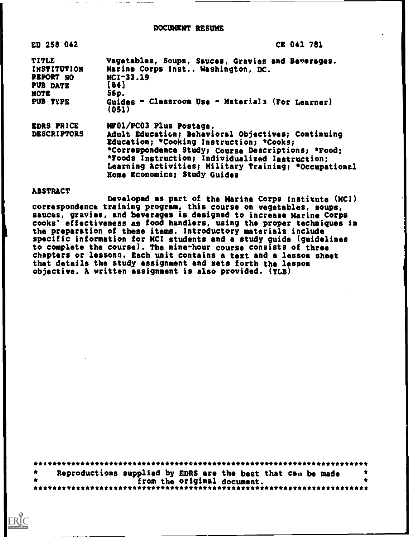# DOCUMENT RESUME

| ED 258 042                                                                      | <b>CE 041 781</b>                                                                                                                                                                                                                                                                                                           |
|---------------------------------------------------------------------------------|-----------------------------------------------------------------------------------------------------------------------------------------------------------------------------------------------------------------------------------------------------------------------------------------------------------------------------|
| TITLE<br><b>INSTITUTION</b><br>REPORT NO<br><b>PUB DATE</b><br>NOTE<br>PUB TYPE | Vagetables, Soups, Sauces, Gravies and Beverages.<br>Marine Corps Inst., Washington, DC.<br>$MCI-33.19$<br>[84]<br>56p.<br>Guides - Classroom Use - Materials (For Learner)<br>(051)                                                                                                                                        |
| <b>EDRS PRICE</b><br><b>DESCRIPTORS</b>                                         | MF01/PC03 Plus Postage.<br>Adult Education; Behavioral Objectives; Continuing<br>Education; *Cooking Instruction; *Cooks;<br>*Correspondence Study; Course Descriptions; *Food;<br>*Foods Instruction; Individualized Instruction;<br>Learning Activities; Military Training; *Occupational<br>Home Economics: Study Guides |

# **ABSTRACT**

ERIC

Developed as part of the Marine Corps Institute (MCI) correspondence training program, this course on vegetables, soups, sauces, gravies, and beverages is designed to increase Marine Corps cooks' effectiveness as food handlers, using the proper techniques in the preparation of these items. Introductory materials include specific information for MCI students and a study guide (guidelines to complete the course). The nine-hour course consists of three chapters or lessons. Each unit contains a text and a lesson sheet that details the study assignment and sets forth the lesson objective. A written assignment is also provided. (YLB)

|  |                             | Reproductions supplied by EDRS are the best that can be made |  |
|--|-----------------------------|--------------------------------------------------------------|--|
|  | from the original document. |                                                              |  |
|  |                             |                                                              |  |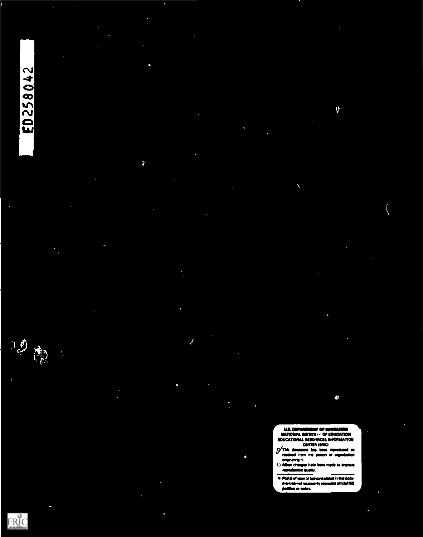

Ý

 $\mathfrak{g}$ .

 $\bullet$ 

# U.S. DEPARTMENT OF INVEATION<br>NATIONAL INSTITU :- OF EDUCATION<br>EDUCATIONAL RESOURCES INFORMATION

EDUCATIONAL RESOURCES INFORMATION<br>CENTER (ERIC)<br>This document has been reproduced as<br>received irom the person or organization<br>originating it.<br>U. Minor changes have been made to improve<br>reproduction quality.

. Points of view or opinions stated in this document do not necessarily represent official Nit<br>position or policy.

ERIC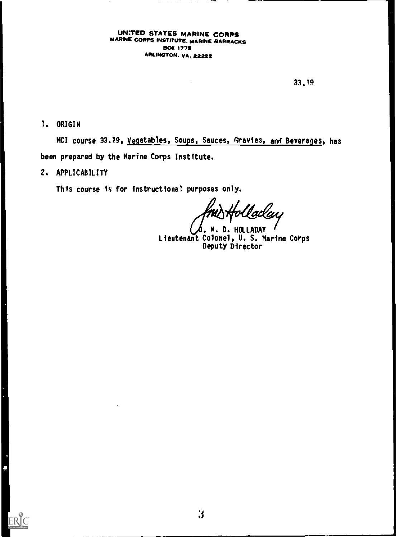UN:TED STATES MARINE CORPS MARINE CORPS INSTITUTE. MARINE SARRACKS BOX 1775 ARLINGTON. VA. 22222

33.19

1. ORIGIN

Ç

ERĬC

MCI course 33.19, Vegetables, Soups, Sauces, Gravies, and Beverages, has been prepared by the Marine Corps Institute.

 $\mathcal{L}$ 

# 2. APPLICABILITY

This course is for instructional purposes only.

Uaclay

M. D. HOLLADAY Lieutenant Colonel, U. S. Marine Corps Deputy Director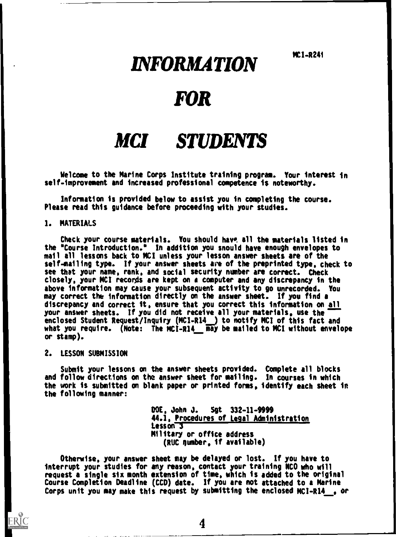MCI-R241

# INFORMATION

# FOR

# MCI STUDENTS

Welcome to the Marine Corps Institute training program. Your interest in self-improvement and increased professional competence is noteworthy.

Information is provided below to assist you in completing the course. Please read this guidance before proceeding with your studies.

# I. MATERIALS

Check your course materials. You should have all the materials listed in the "Course Introduction." In addition you snould have enough envelopes to mail all lessons back to MCI unless your lesson answer sheets are of the self-mailing type. If your answer sheets are of the preprinted type, check to see that your name, rank, and social security number are correct. Check closely, your MCI records are kept on a computer and any discrepancy in the above information may cause your subsequent activity to go unrecorded. You may correct the information directly on the answer sheet. If you find a discrepancy and correct it, ensure that you correct this information on all your answer sheets. If you did not receive all your materials, use the enclosed Student Request/Inquiry (MCI-R14) to notify MCI of this fact and what you require. (Note: The MCI-R14 may be mailed to MCI without envelope or stamp).

# 2. LESSON SUBMISSION

ERIC

Submit your lessons on the answer sheets provided. Complete all blocks and follow directions on the answer sheet for mailing. In courses in which the work is submitted on blank paper or printed forms, identify each sheet in the following manner:

> DOE, John J. Sgt 332-11-9999 44.1, Procedures of Legal Administration Less on 3 Military or office address (RUC oumber, if available)

Otherwise, your answer sheet may be delayed or lost. If you have to interrupt your studies for any reason, contact your training NCO who will request a single six month extension of time, which is added to the original Course Completion Deadline (CCD) date. If you are not attached to a Marine Corps unit you may make this request by submitting the enclosed MCI -R14 , or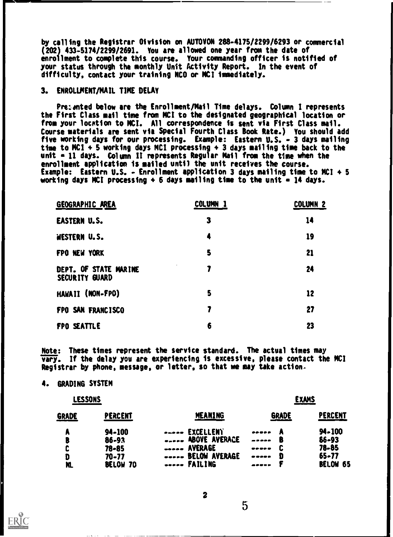by calling the Registrar Division on AUTOVON 288-4175/2299/6293 or commercial (202) 433.5174/2299/2691. You are allowed one year from the date of enrollment to complete this course. Your commanding officer is notified of your status through the monthly Unit Activity Report. In the event of difficulty, contact your training NCO or MCI immediately.

# 3. ENROLLMENT/MAIL TIME DELAY

Pre: anted below are the Enrollment/Mail Time delays. Column I represents the First Class mail time from MCI to the designated geographical location or from your location to MCI. All correspondence is sent via First Class mail. Course materials are sent via Special Fourth Class Book Rate.) You should add five working days for our processing. Example: Eastern U.S. - 3 days mailing time to MCI + 5 working days MCI processing 4, 3 days mailing time back to the unit = 11 days. Column II represents Regular Mail from the time when the enrollment application is mailed until the unit receives the course. Example: Eastern U.S. - Enrollment application 3 days mailing time to MCI + 5 working days MCI processing  $+ 6$  days mailing time to the unit  $= 14$  days.

| GEOGRAPHIC AREA                         | COLUMN <sub>1</sub> | <b>COLUMN 2</b> |
|-----------------------------------------|---------------------|-----------------|
| <b>EASTERN U.S.</b>                     | 3                   | 14              |
| WESTERN U.S.                            |                     | 19              |
| FPO NEW YORK                            | 5                   | 21              |
| DEPT. OF STATE MARINE<br>SECURITY GUARD | 7                   | 24              |
| HAWAII (NON-FPO)                        | 5                   | 12              |
| FPO SAN FRANCISCO                       | 7                   | 27              |
| FPO SEATTLE                             | 6                   | 23              |

Note: These times represent the service standard. The actual times may vary. If the delay you are experiencing is excessive, please contact the MCI Registrar by phone, message, or letter, so that we may take action.

# 4. GRADING SYSTEM

| <b>LESSONS</b> |                    | <b>EXAMS</b>                                            |                                                                                                                                                                                                                                                                                                                                                                                                                                                                                        |                |  |
|----------------|--------------------|---------------------------------------------------------|----------------------------------------------------------------------------------------------------------------------------------------------------------------------------------------------------------------------------------------------------------------------------------------------------------------------------------------------------------------------------------------------------------------------------------------------------------------------------------------|----------------|--|
| GRADE          | PERCENT            | <b>MEANING</b>                                          | <b>GRADE</b>                                                                                                                                                                                                                                                                                                                                                                                                                                                                           | <b>PERCENT</b> |  |
| л              | 94-100             | <b>EXCELLENT</b>                                        |                                                                                                                                                                                                                                                                                                                                                                                                                                                                                        | 94-100         |  |
| ₿              | $86 - 93$          | <b>ABOVE AVERACE</b>                                    | $\begin{array}{cccccccccccccc} \multicolumn{2}{c}{} & \multicolumn{2}{c}{} & \multicolumn{2}{c}{} & \multicolumn{2}{c}{} & \multicolumn{2}{c}{} & \multicolumn{2}{c}{} & \multicolumn{2}{c}{} & \multicolumn{2}{c}{} & \multicolumn{2}{c}{} & \multicolumn{2}{c}{} & \multicolumn{2}{c}{} & \multicolumn{2}{c}{} & \multicolumn{2}{c}{} & \multicolumn{2}{c}{} & \multicolumn{2}{c}{} & \multicolumn{2}{c}{} & \multicolumn{2}{c}{} & \multicolumn{2}{c}{} & \multicolumn{2}{c}{} & \$ | $86 - 93$      |  |
| C              | 78-85              | <b>AVERAGE</b><br>$\bullet\bullet\bullet\bullet\bullet$ |                                                                                                                                                                                                                                                                                                                                                                                                                                                                                        | 78-85          |  |
| D              | 70-77              | <b>BELOW AVERAGE</b>                                    |                                                                                                                                                                                                                                                                                                                                                                                                                                                                                        | $65 - 77$      |  |
| n              | <b>BELOW</b><br>70 | ----- FAILING                                           | -----                                                                                                                                                                                                                                                                                                                                                                                                                                                                                  | BELOW 65       |  |



 $5\phantom{1}$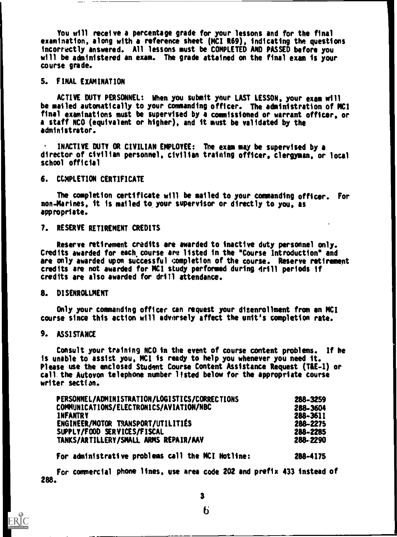You will receive a percentage grade for your lessons and for the final examination, along with a reference sheet (MCI R69), indicating the questions incorrectly answered. All lessons must be COMPLETED AND PASSED before you will be administered an exam. The grade attained on the final exam is your course grade.

# 5. FINAL EXAMINATION

ACTIVE DUTY PERSONNEL: When you submit your LAST LESSON, your exam will be mailed automatically to your commanding officer. The administration of MCI final examinations must be supervised by a commissioned or warrant officer, or a staff NCO (equivalent or higher), and it must be validated by the administrator.

INACTIVE DUTY OR CIVILIAN EMPLOYEE: The exam may be supervised by a. director of civilian personnel, civilian training officer, clergyman, or local school official

# 6. CCMPLETION CERTIFICATE

The completion certificate will be mailed to your commanding officer. For non-Marines, it is mailed to your supervisor or directly to you, as appropriate.

# 7. RESERVE RETIREMENT CREDITS

Reserve retirement credits are awarded to inactive duty personnel only. Credits awarded for each course are listed in the "Course Introduction" and are only awarded upon successful completion of the course. Reserve retirement credits are not awarded for MCI study performed during drill periods if credits are also awarded for drill attendance.

# 8. DISENROLLMENT

Only your commanding officer can request your disenrollment from an MCI course since this action will adversely affect the unit's completion rate.

# 9. ASSISTANCE

ERĬC

Consult your training NCO in the event of course content problems. If he is unable to assist you, MCI is ready to help you whenever you need it. Please use the enclosed Student Course Content Assistance Request (T&E-1) or call. the Autovon telephone number listed below for the appropriate course writer section.

| PERSONNEL/ADMINISTRATION/LOGISTICS/CORRECTIONS | 288-3259 |  |
|------------------------------------------------|----------|--|
| COMMUNICATIONS/ELECTRONICS/AVIATION/NBC        | 288-3604 |  |
| <b>INFANTRY</b>                                | 288-3611 |  |
| ENGINEER/MOTOR TRANSPORT/UTILITIES             | 288-2275 |  |
| SUPPLY/FOOD SERVICES/FISCAL                    | 288-2285 |  |
| TANKS/ARTILLERY/SMALL ARMS REPAIR/AAV          | 288-2290 |  |
|                                                |          |  |

For administrative problems call the MCI Hotline: 288 -4175

288. For commercial phone lines, use Area code 202 and prefix 433 instead of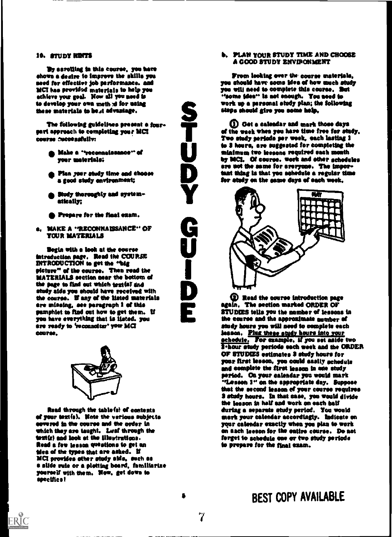# 10. STUDY HENTS

By sarolling in this course, you have shows a desire to improve the skills you seed for effective job pertormasee. and MCI has provided materials to help you achieve yow goal. Nom ell you seed is to develop your owe meth id for using these materials to be<sub>4</sub>t advantage.

The following guidelines present a fourpart appreach to completing you? MCI souse asseessildlys

- Makes oreconsaissance" of year materialei
- Plan your study time and choose a good study eavironment;
- Study thoroughly and systems atkally;
- Prepare for the flaal exam.
- a. MAKE A 'RECONNAISSANCE'' OF YOUR MATERIALS

Begin with a look at the course Introduction page, Read the COME **INTRODUCTION** to get the 'big picture" of the course. Then read the MATERIALS section sear the bottom of the page to find out which textis! and study aids you should have received with the course. If any of the listed materials are missing, see paragraph 1 of this pamphlet to find out how to get them. U you have everything that Is listed. you are ready to 'reconnoiter' your MCI worse.



Read through the table (s) of contents of your text(s). Note the verious subjects severed in the course and the order in which they are taught. Leaf through the textic) and look at the illustrations. Need e fee lessee questions to get as idea of the types that are asked. If<br>MCI provides other study aids, such as a slide rule or a plotting board, familiarize yourself with them. Now, get down to specifics!

ERIC

b. PLAN YOUR STUDY TIME AND CHOOSE A GOOD STUDY ENVIRONMENT

Sort up a personal study plan; the following<br>bleps should give you nome help,<br>Sort a calendar and mark those days from looking over the coarse materials. you should have some idea of how much study yea will seed to complete this coarse. Rut "some idea" is not enough. You need to work up personal study plan; the following Mops should give you some help.

<sup>2</sup> <sup>0</sup> O Get a calendar and mark those days<br>of the week when you have time free for st<br>Two study periods per week, each lasting<br>in 3 hours, are suggested for completing t to a noure, are suggested for completing<br>minimum two leesons required each mon<br>by MCI. Of course. work and other gehe<br>and the same for answers. The image are not the same for areryone. The important thing is that you sehedule a regular the for attachy on the same days of each week. of the week whet yes have time free for stay. Two study periods per week, each lastiag 1 to \$ Mors, are suggested for completing the Maintain two lessons required sash month by MCI. Of course. work and ether schedules.<br>are not the same for areryone. The imporlent thing is that yes eahedule a regular time for study on the easee days of sach week.



 $\sum_{\text{real}}$   $\sum_{\text{real}}$  Read the course Introduction page EXECUTE: The section marked ORDER OF<br>EXECUTION Stells you the number of lessons in<br>the course and the approximate number of<br>study hours you will need to complete each again. The section marked ORDER OF the course and the approximate anonber of study beers yea will seed to complete each lesson, <u>Plug these study hours into your</u> hedule. For example, if you set aside two **that it was a set of the set of the set of the set of the set of the** 3-hour study periods each week and the ORDER OF STUDIES estimates 3 study hours for year first losses, you could easily schedule and complete the first lossen in one study<br>period. On your calendar you would mark **"Lesson 1" on the appropriate day.** Suppose that the second lesson of your course requires \$ study hours. In that ease, you would divide the teason in half and work on each half during a separate study period. You would mark your calendar accordingly. Indicate on your calendar exactly when you plan to work on each leeson for the eatire course. Do not forget to schedule one or two study periods is prepare for the final exam.

 $\overline{7}$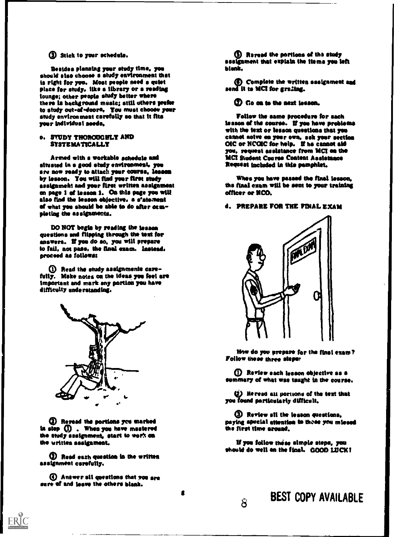Stick to year schedule.

Besides planning year study time. you should also choose a study environment that<br>is right for you. Most people need a quiet place for study. Ilke a library or a reading lounge; other people study better where there is background music; still others prefer to study out-of-deers. You must choose your study environment carefully so that it fits year individual seeds.

# e. STUDY TNOROUGNLT AND SYSTEMATICALLT

Armed with a workable achedule and situated in good study envirenmeat, yes are now ready to attach your course, Isseca by lesson. You will find year first study assigsmeht and year tint written assigamest on page I of losses I. Oa this page yam will also find the lesson objective. s s'atement of whet you should be able to do after eem pleting the assignments.

DO NOT bogin by reading the lesson questions and flipping through the text for mowers. If you do so. you will prepare to fail, not pass, the final exam. Instead. proceed as follows:

ID Read the seedy assignments care. fully. Make notes on the ideas you feel are Important and mark any portion you have difficulty understanding.



0 Reread the portions yes marked in step (1). When you have mastered the study assignment, start to work on the written assignment.

® Read sub question is the written assignment carefully.

® Answer all questions that you are sure of and leave the others blank.

**ERIC** 

Reread the portions of the study assignment that explain the items you left blank.

send it te MCI for grading. Complete the written assignment and

0 Co as to the neat lessee.

Follow the same procedure for sach lesson of the course. If you have problems with the text or lesson questions that you<br>cannot noive on your own, sak your section CIC or NCCIC for help. If he cannot ald you, request assistance from MCI on the MCI Student Course Content Assistance Bequest included in this pamphlet.

Whea you have passed the final lesson. Ms final exam will be sent to year training officer or NCO.

# d. PREPARE FOR THE FINAL EXAM



Now do you prepare for the final exam? Follow inves three steps:

0 Review each lesson objective as a summary of what was taught in the course.

(2) Heread all portions of the text that you found particularly difficult.

**1** Review all the lesson questions, paying special attention to those you missed the first time around.

If you follow these simple steps, you should do well on the final. GOOD LUCK!

 $\mathbf{B}_{\mathbf{S}}$  BEST COPY AVAILABLE

# s and the second second second in the second second second in the second second second in the second second second second second second second second second second second second second second second second second second se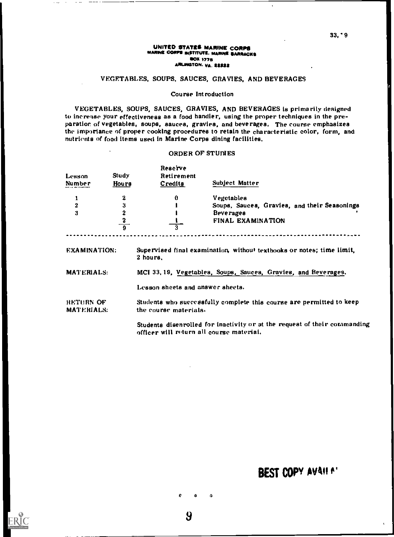#### UNITED STATES MARINE CORPS WARINE CORPS INSTITUTE. MARINE BARRACKS **BOX 1778** A8LINGTON. VA. 22282

# VEGETABLES, SOUPS, SAUCES, GRAVIES, AND BEVERAGES

# Course Introduction

VEGETABLES, SOUPS, SAUCES, GRAVIES, AND BEVERAGES is primarily designed to increase your effectiveness as a food handler, using the proper techniques in the preparation of vegetables, soups, sauces, gravies, and beverages. The course emphasizes the importance of proper cooking procedures to retain the characteristic color, form, and nutrients of food items used in Marine Corps dining facilities,

# ORDER OF STUDIES

|            |                | Reserve                                  |                                                                           |
|------------|----------------|------------------------------------------|---------------------------------------------------------------------------|
| Lesson     | <b>Study</b>   | Retirement                               | Subject Matter                                                            |
| Number     | Hours          | Credits                                  |                                                                           |
|            | 2              | 0                                        | Vegetables                                                                |
| 2          | 3              |                                          | Soups, Sauces, Gravies, and their Seasonings                              |
| 3          | 2              |                                          | <b>Beverages</b>                                                          |
|            | 2              |                                          | FINAL EXAMINATION                                                         |
|            | $\overline{9}$ |                                          |                                                                           |
| MATERIALS: |                | 2 hours.                                 | MCI 33, 19, Vegetables, Soups, Sauces, Gravies, and Beverages.            |
|            |                | Lesson sheets and answer sheets.         |                                                                           |
| RETURN OF  |                |                                          | Students who successfully complete this course are permitted to keep      |
| MATERIALS: |                | the course materials.                    |                                                                           |
|            |                | officer will return all course material. | Students disenrolled for inactivity or at the request of their commanding |



ERIC

 $\mathbf{x}$ 

Y.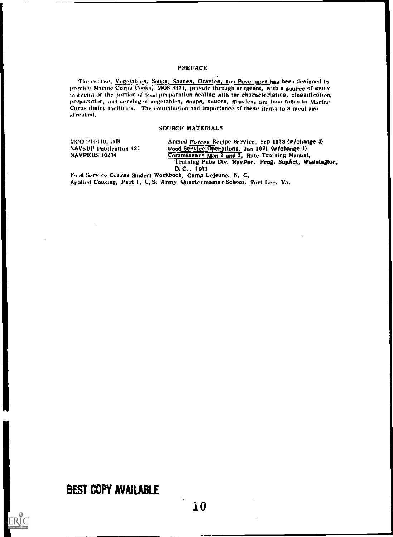# PREFACE

The course, Vegetables, Soups, Sauces, Gravies, and Beverages has been designed to provide Marine Corps Cooks, MOS 3371, private through sergeant, with a source of study material on the portion of food preparation dealing with the characteristics, classification, preparation, and serving or vegetables, soups, sauces, gravies, and beverages in Marine Corps dining facilities. The contribution and importance of these items to a meal are st rested,

# SOURCE MATERIALS

MCO P10110. IGB **Armed Forces Recipe Service**. Sep 1973 (w/change 3) NAVSUP Publication 421 Food Service Operations, Jan 1971 (w/change 1)<br>
NAVPERS 10274 Commissary Man 3 and 2, Rate Training Manual Commissary Man 3 and 2, Rate Training Manual, Training Pubs Div. NavPer. Prog. SupAct, Washington,

O. C., 1971

Food Service Course Student Workbook, Camp Lejeune, N. C. Applied Cooking, Part 1, U. S. Army Quartermaster School, Fort Lee. Va.

# BEST COPY AVAILABLE

ERIC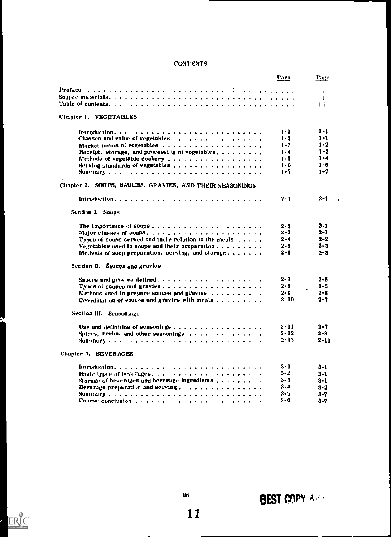# CONTENTS

|                                                                      | Para     | Page                            |  |
|----------------------------------------------------------------------|----------|---------------------------------|--|
|                                                                      |          | i.                              |  |
|                                                                      |          | t                               |  |
|                                                                      |          | iii                             |  |
| Chapter 1. VEGETABLES                                                |          |                                 |  |
| Introduction                                                         | $1 - 1$  | $1 - 1$                         |  |
| Classes and value of vegetables                                      | $1 - 2$  | $1 - 1$                         |  |
|                                                                      | $1 - 3$  | $1 - 2$                         |  |
| Receipt, storage, and processing of vegetables,                      | $1 - 4$  | $1 - 3$                         |  |
|                                                                      | $1 - 5$  | $1 - 4$                         |  |
| Serving standards of vegetables $\ldots$ , , , ,                     | $1 - 6$  | $1 - 6$                         |  |
|                                                                      | $1 - 7$  | $1 - 7$                         |  |
|                                                                      |          |                                 |  |
| Chapter 2. SOUPS, SAUCES. GRAVIES, AND THEIR SEASONINGS              |          |                                 |  |
|                                                                      | $2 - 1$  | $2 - 1$<br>$\ddot{\phantom{0}}$ |  |
| Section I. Soups                                                     |          |                                 |  |
|                                                                      | 2-2      | $2 - 1$                         |  |
|                                                                      | $2 - 3$  | $2 - 1$                         |  |
| Types of soups served and their relation to the meals $\dots$ .      | $2 - 4$  | $2 - 2$                         |  |
| Vegetables used in soups and their preparation $\ldots$ ,            | 2-5      | $2 - 3$                         |  |
| Methods of soup preparation, serving, and storage,                   | 2-6      | $2 - 3$                         |  |
| Section II. Sauces and gravies                                       |          |                                 |  |
|                                                                      |          |                                 |  |
| Sauces and gravies defined. $\cdots$ ,                               | $2 - 7$  | $2 - 5$                         |  |
|                                                                      | $2 - 8$  | $2 - 5$                         |  |
| Methods used to prepare sauces and gravies $\dots \dots \dots$       | $2 - 9$  | $2 - 6$                         |  |
| Coordination of sauces and gravies with meals $\dots \dots \dots$    | $2 - 10$ | $2 - 7$                         |  |
| Section III. Seasonings                                              |          |                                 |  |
|                                                                      | 2-11     |                                 |  |
|                                                                      | $2 - 12$ | 2-7                             |  |
| Spices, herbs. and other seasonings.                                 | $2 - 13$ | $2 - 8$                         |  |
|                                                                      |          | $2 - 11$                        |  |
| Chapter 3. BEVERAGES                                                 |          |                                 |  |
|                                                                      | $3 - 1$  | $3 - 1$                         |  |
|                                                                      | $3 - 2$  | $3 - 1$                         |  |
| Storage of beverages and beverage ingredients, $\dots$ , , , , , , , | $3 - 3$  | $3 - 1$                         |  |
| Beverage preparation and serving. $\ldots$ ,                         | $3 - 4$  | $3 - 2$                         |  |
|                                                                      | $3 - 5$  | $3 - 7$                         |  |
|                                                                      | $3 - 6$  | $3 - 7$                         |  |
|                                                                      |          |                                 |  |



Ŷ.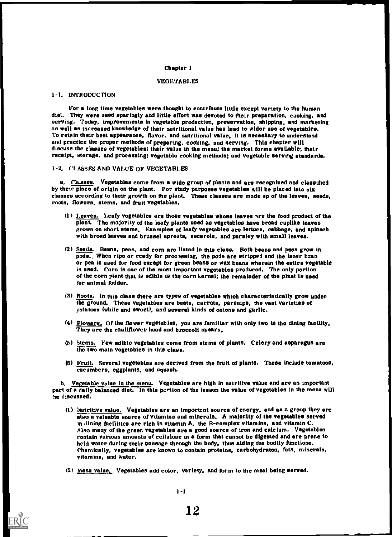#### Chapter I

#### VEGETABLES

#### 1-1. INTRODUCTION

For a long time vegetables were thought to contribute little except variety to the human diet. They were used sparingly and little effort was devoted to their preparation, cooking, and serving. Today, improvements in vegetable production, preservation, shipping, and marketing as well as increased knowledge of their nutritional value has lead to wider use of vegetables. To retain their best appearance, flavor, and nutritional value, it is necesbary to understand and practice the proper methods of preparing, cooking, and serving. This chapter will discuss the classes of vegetables; their value in the menu; the market forms available; their receipt, storage. and processing; vegetable cooking methods; and vegetable serving standards.

#### 1-2, Ci ASSES AND VALUE OF VEGETABLES

a. Cli.sses. Vegetables come from a wide group of plants and are recognized and classified by their place of origin on the plant. For study purposes vegetables will be placed into six classes according to their growth on the plant, These classes are made up of the leaves, seeds, roots, flowers, stems, and fruit vegetables,

- ) Leaves. Leafy vegetables are those vegetables whose leaves nre the food product of the plant. The majority of the leafy plants used as vegetables have broad cuplike leaves grown on short stems, Examples of leafy vegetables are lettuce, cabbage, and spinach with broad leaves and brussel sprouts, escarole, and parsley with small leaves.
- (2) Seeds. Beans, peas, and corn are listed in this class. Both beans and peas grow in pods., When ripe or ready for processing, the pods are strippel and the inner bean or pea is used for food except for green beans or wax beans wherein the entire vegetable is used. Corn is one of the most important vegetables produced, The only portion of the corn plant that is edible is the corn kernel; the remainder of the plant is used for animal fodder,
- (3) Roots. In this class there are types of vegetables which characteristically grow under the ground, These vegetables are beets, carrots, parsnips, the vast varieties of potatoes (white and sweet), and several kinds of onions and garlic.
- (4) Flowers. Of the flower vegetables, you are familiar with only two in the dining facility, They are the cauliflower head and broccoli spears,
- (5) Stems. Few edible vegetables come from stems of plants. Celery and asparagus are the two main vegetables in this class.
- (6) Fruit. Several vegetables are derived from the fruit of plants. These include tomatoes, cucumbers, eggplants, and squash.

b. Vegetable value in the menu. Vegetables are high in nutritive value and are an important part of a daily balanced diet. In this pertion of the lesson the value of vegetables in the menu will be discussed,

- (1) Nutritive value. Vegetables are an important source of energy, and as a group they are also a valuable source of vitamins and minerals, A majority of the vegetables served in dining facilities are rich In vitamin A. the B- complex vitamins, and vitamin C. Also many of the green vegetables are a good source of iron and calcium. Vegetables contain various amounts of cellulose in a form that cannot be digested and are prone to held water during their passage through the body, thus aiding the bodily function. Chemically, vegetables are known to contain proteins, carbohydrates, fats, minerals, vitamins, and water.
- $(2)$  Menu value. Vegetables add color, variety, and form to the meal being served.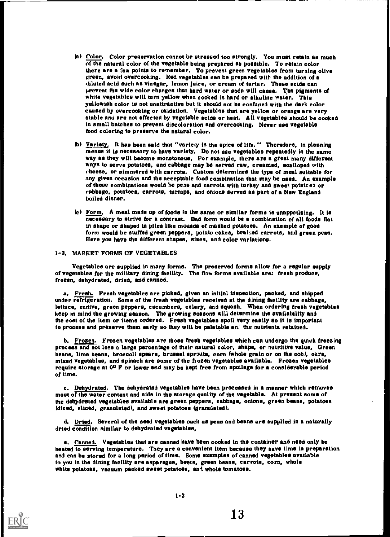- (a) Color. Color veservation cannot be stressed too strongly. You must retain as much of the natural color of the vegetable being prepared as possible. To retain color there are a few points to remember. To prevent green vegetables from turning olive green, avoid overcooking. Red vegetables can be prepared with the addition of a diluted acid such as vinegar, lemon Juice, or cream of tartar. These acids can prevent the wide color changes that hard water or soda will cause. The pigments of white vegetables will turn yellow when cooked in hard or alkaline water. This yellowish color is not unattractive but it should not be confused with the dark color caused by overcooking or oxidation. Vegetables that are yellow or orange are very stable and are not affected by vegetable acids or heat. All vegetables should be cooked in small batches to prevent discoloration and overcooking. Never use vegetable food coloring to preserve the natural color.
- (b) Variety. It has been said that "variety is the spice of life." Therefore, in planning menus it is necessary to have variety, Do not use vegetables repeatedly in the same way as they will become monotonous, For example, there are a great many different ways to serve potatoes, and cabbage may be served raw, creamed, scalloped with cheese, or simmered with carrots. Custom determines the type of meal suitable for any given occasion and the acceptable food combination that may be used. An example of these combinations would be peas and carrota with turkey and sweet potatees or cabbage, potatoes, carrots, turnips, and onions served as part of a New England boiled dinner,
- (c) Form, A meal made up of foods in the same or similar forms is unappetizing. It is necessary to strive for a contrast. Bad form would be a combination of all foods flat in shape or shaped in piles like mounds of mashed potatoes. An exemple of good form would be stuffed green peppers, potato cakes, braised carrots, and green peas. Here you have the different shapes, sizes, and color variations.

#### 1-3. MARKET FORMS OF VEGETABLES

Vegetables are supplied in many forms. The preserved forms allow for a regular supply of vegetables for the military dining facility. The five forms available are: fresh produce, frozen, dehydrated, dried, and canned.

a. Fresh. Fresh vegetables are picked, given an initial inspection, packed, and shipped under refrigeration. Some of the fresh vegetables received at the dining facility are cabbage, lettuce, endive, green peppers, cucumbers, celery, and squash. When ordering fresh vegetables keep in mind the growing season. The growing seasons will determine the availability and the cost of the item or items ordered. Fresh vegetables spoil very easily so it is important to process and preserve them early so they will be palatable an: the nutrients retained.

b. Frozen. Frozen vegetables are those fresh vegetables which can undergo the quick freezing process and not lose a large percentage of their natural color, shape, or nutrittve value, Green beans, lima beans, broccoli spears, brussel sprouts, corn (whole grain or on the cob), okra, mixed vegetables, and spinach are some of the frozen vegetables available. Frozen vegetables require storage at 00 F or lower and may be kept free from spoilage for a considerable period of time.

c. Dehydrated. The dehydratad vegetables have been processed in a manner which removes most of the water content and aids in the storage quality of the vegetable. At present some of the dehydrated vegetables available are green peppers, cabbage, onions, green beans, potatoes (diced, sliced, granulated), and sweet potatoes (granulated).

d. Dried. Several of the seed vegetables ouch as peas and beans are supplied in a naturally dried condition similar to dehydrated vegetables,

e. Canned. Vegetables that are canned have been cooked In the container and need only be heated to serving temperature. They are a convenient item because they save time in preparation and can be stored for a long period of time. Some examples of canned vegetables available to you in the dining facility are asparagus, beets, green beans, carrots, corn, whole white potatoes, vacuum packed sweet potatoes, ant whole tomatoes.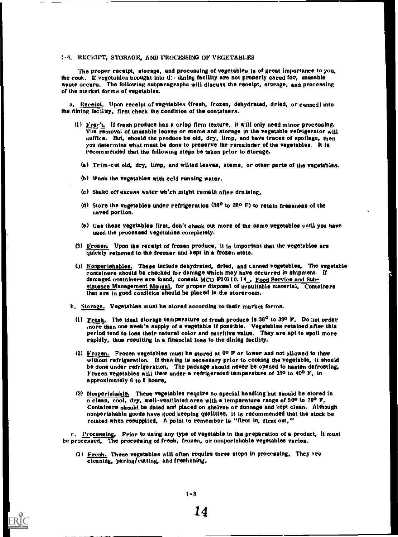### 4. RECEIPT, STORAGE, AND PROCESSING OF VEGETABLES

The proper receipt, atorage, and processing of vegetables is of great importance to you, the cook. If vegetahles brought into ti: dining facility are not properly cared for, unusable waste occurs. The following aubparagraphc will discuss the receipt, storage, and processing of the market forms of vegetables.

a, Receipt, Upon recelpt of vegotables (fresh, frozen, dehydrated, dried, or canned) into the dining facility, first check the condition of the containers.

- (1)  $\text{Frenh.}$  If fresh produce has a crisp firm texture, it will only need minor processing. The removal of unusable leaves or stems and storage in the vegetable refrigerator will suffice. But, should the produce be old, dry, limp, and have traces of spoilage, then you determine what must be done to preserve the remainder of the vegetables. It is recommended that the following steps be taken prior to storage.
	- (a) Trim-cut old, dry, limp, and wilted leaves, stems, or other parts of the vegetables.
	- (b) Wash the vegetables with ccIS running water.
	- $(c)$  Shake off excess water which might remain after draining.
	- (d) Store the vegetables under refrigeration  $(36^{\circ}$  to  $38^{\circ}$  F) to retain freshness of the saved portion.
	- (e) Use these vegetables first, don't cheek out more of the same vegetables until you have used the processed vegetables completely.
- (2)  **Upon the receipt of frozen produce, it is important that the vegetables are** quickly returned to the freezer and kept in a frozen state.
- (3) Nonperishables. These include dehydrated, dried, and canned vegetables, The vegetable containers should be checked for damage which may have occurred in shipment. If damaged containers are found, coneult MCO P10110.14, Food Service and Subsistence Management Manual, for proper disposal of unsuitable material, Containers that are in good condition should be placed in the storeroom.
- b, Storage, Vegetables must be stored according to their market forms.
	- (1) Fresh. The ideal storage temperature of fresh produce is  $36<sup>o</sup>$  to  $38<sup>o</sup>$  F. Do not order .nore than one week's supply of a vegetable if possible. Vegetables retained after this period tend to lose their natural color and nutritive value. They are apt to spoil more rapidly, thus resulting in a financial loss to the dining facility.
	- (2) Frozen. Frozen vegetables must be stored at 0° F or lower and not allowed to thaw without refrigeration, If thawing is necessary prior to cooking the vegetable, it should be done under refrigeration, The package should never be opened to hasten defrosting, Frozen vegetables will thaw under a refrigerated temperature of 350 to 400 F, in approximately 6 to 8 hours,
	- (3) Nonperisitable. These vegetables require no special handling but should be stored in a clean, cool, dry, well-ventilated area with a temperature range of 500 to 70° F, Containers should be dated and placed on shelves or dunnage and kept clean, Although nonperishable goods have good keeping qualities, it is recommended that the stock be rotated when resupplied, A point to remember is "first in, first out,"

e. Processing, Prior to using any type of vegetable in the preparation of a product, it must be processed, The processing of fresh, frozen, or nonperishable vegetables varies.

(1) Fresh. These vegetables will often require three steps in processing, They are cleaning, paring/cutting, and freshening,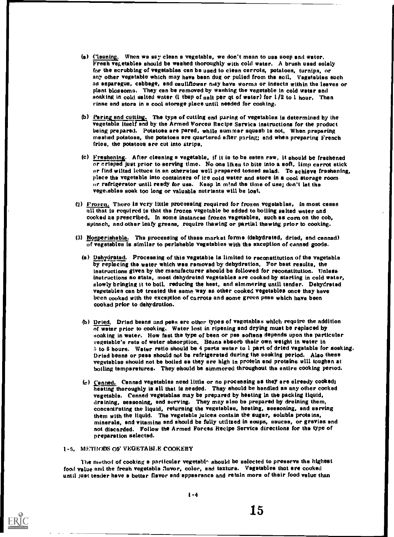- (a) Cleaning. When we say clean a vegetable, we don't mean to use soap and water. Fresh veretables should be washed thoroughly with cold water. A brush used solely for the scrubbing of vegetables can be used to clean carrots, potatoes, turnips, or any other vegetable which may have been dug or pulled from the soil, Vegetables such as asparagus, cabbage, and eauliflower may have worms or insects within the leaves or plant blossoms. They can be removed by washing the vegetable in cold water and soaking in cold salted water (1 then of salt per qt of water) for  $1/2$  to 1 hour. Then rinse end store in a cool storage place until needed for cooking.
- (b) Paring and cutting. The type of cutting end paring of vegetables is determined by the vegetable itself end by the Armed Forces Recipe Service instructions for the product being prepared. Potatoes ere pared, while summer squeeh la not, When preparing meshed potatoes, the potatoes ere quartered after paring; shd when preparing French fries, the potatoes ere cut into strips,
- (c) Freshening. After cleaning a vegetable, if it ie to be eaten raw, it should be freshened or crisped Just prior to serving time. No one likes to bite into a soft, limp carrot stick or find wilted lettuce in en otherwise well prepared tossed salad. To achieve freshening, place the vegetable into containers of ice cold water and store in a cool storage room or refrigerator until reedy for use. Keep In m!nd the time of use; don't let the vegemebles soak too long or valuable nutrients will be lost.
- (2) Frozen. There is very little processing required for frozen vegetables, in most cases all that ie required ie that the frozen vegetable be added to boiling salted water and cooked as prescribed, In some instances frozen vegetables, such es corn on the cob, spinach, and other leafy greens, require thawing or partial thawing prior to cooking.
- (3) Nonperishable. The processing of these market forme ( dehydrated, dried, end canned) of vegetables is similar to perishable vegetables with the exception of canned goods.
	- (e) Dehydrated. Processing of this vegetable is limited to reconstitution of the vegetable by replacing the water which wee removed by dehydration, For best results, the instructions given by the manufacturer should be followed for reconstitution. Unless instructions so state, most dehydrated vegetables ere cooked by starting in cold water, slowly bringing it to boil, reducing the hest, and simmering until tender. Dehydrated vegetables can be treated the same way es other cooked vegetables once they have been cooked with the exception of carrots and some green pees which have been cooked prior to dehydration.
	- (b) Dried. Dried beans and pees ere other types of vegetables which require the addition of water prior to cooking. Water lost in ripening end drying must be replaced by soaking in water. Now fest the type of been or pee softens depends upon the particular vegetable's rate of water absorption, Beane absorb their own weight in water In 5 to 6 hours. Water ratio should be 4 parts water to 1 part of dried vegetable for soaking. Dried beens or pees should not be refrigerated during the soaking period. Also these vegetables should not be boiled es they ere high in protein end proteins will toughen at boiling temperatures. They should be simmered throughout the entire cooking period.
	- (e) Canned. Canned vegetables need little or no processing es they ere already cooked; heating thoroughly is ell that ie needed. They should be handled as any other cooked vegetable. Canned vegetables may be prepared by heating In the packing liquid, draining, seasoning, end serving. They may also be prepared by draining them, concentrating the liquid, returning the vegetables, heating, seasoning, end serving them with the liquid. The vegetable juices contain the sugar, soluble proteins, minerals, and vitamins and should be fully utilized in soups, sauces, or gravias and not discarded. Follow the Armed Forces Recipe Service directions for the type of preparation selected.

# 1-5. METHODS OF VEGETABLE COOKERY

The method of cooking a particular vegetable should be salected to preserve the highest food value and the fresh vegetable flavor, color, end texture. Vegetables that ere cooked until just tender have a bettar flavor and appearance and retain more of their food value than

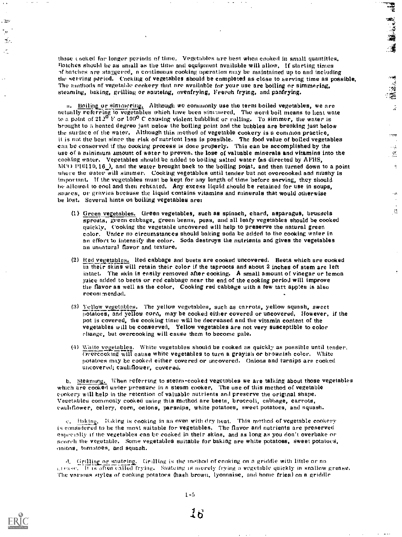those cooked for longer periods of time. Vegetables are best when cooked in small quantities, Batches should be as small as the time and equipment nyailable will allow. If starting times if batches nre staggered, a continuous cooking operation may be maintained up to and including the serving period. Cnoking of vegetables should be completed as close to serving time as possible, The methods of vegetable cookery that are available for your use are boiling or simmering, steaming, baking, grilling or sauteing, ovenfrying, Freveh frying, and panfrying.

**READER** 

10.44.44

 $\frac{1}{\sqrt{2}}$ 

**Team** 

نم .  $\mathcal{N}_\mathrm{c}$ 

 $\frac{1}{2}$ 

 $\cdot$  it:

 $\mathcal{M}$ 

 $\mathbf{a}$ . Boiling or simmering, Although we commonly use the term boiled vegetables, we are actually referring; to vegetables which have been sininered. The word boil means to heat wate to a point of  $21.2^{\mathbf{0}}$  F or  $100^{\mathbf{0}}$  C causing violent bubbling or rolling. To simmer, the water is brought to a heated degree just below the boiling point and the bubbles are breaking just below the surface of the water. Although this method of vegetable cookery is a common practice, it is not the best since the risk of nutrient lass is possible. The food value of boiled vegetables can be conserved if the cooking process is done properly. This can be accomplished by the use of a minimum amount of water to preven. the lose of valuable minerals and vitamins into the cooking water. Vegetables should be added to boiling salted water (as directed by AFRS. M( $\overline{O}$  P10110.16 ), and the water brought back to the boiling point, and then turned down to a point where the water will simmer. Cooking vegetables until tender but not overcooked and mushy is important. If the vegetables must be kept for any length of time before serving, they should be allowed to cool and then reheated. Any excess liquid should be retained for use in soups, sauces, or gravies because the liquid contains vitamins and minerals that would otherwise be lost. Several hints on boiling vegetables are:

- (1) Green vegetables. Green vegetables, such as spinach, chard, asparagus, brussels sprouts, green cabbage, green beans, peas, and all leafy vegetables should be cooked quickly, Cooking the vegetable uncovered will help to preserve the natural green color, Under no circumstances should baking soda be added to the cooking water in an effort to intensify the color. Soda destroys the nutrients and gives the vegetables an unnatural flavor and texture.
- (2) Red vegetables. Red cabbage and beets are cooked uncovered. Beets which are cooked in their skins will retain their color if the taproots and about 2 inches of stem are left intact. The skin is easily removed after cooking. A small amount of vinegar or lemon juice added to beets or red cabbage near the end of the cooking period will improve the flavor as well as the color, Cooking red cabbage with a few tart apples is also recommended.
- (3) Yellow vegetables. The yellow vegetables, such as carrots, yellow squash, sweet  $\overline{\text{potatoes}}$ , and yellow corn, may be cooked either covered or uncovered. However, if the pot is covered, the cooking time will be decreased and the vitamin content of the vegetables will be conserved, Yellow vegetables are not very susceptible to color cliange, but overcooking will cause them to become pale.
- $(4)$  White vegetables. White vegetables should be cooked as quickly as possible until tender. overcooking will cause white vegetables to turn a grayish or brownish color. White potatoes may be cooked either covered or uncovered. Onions and turnips are cooked uncovered; cauliflower, covered.

b. Steaming. When referring to steam-eooked vegetables we are talking about those vegetables which are cooked under pressure in a steam cooker. The use of this method of vegetable cookery will help in the retention of valuable nutrients and preserve the original shape. Veeetables commonly cooked using this method are beets, broccoli, cabbage, carrots, eauliflower, celery, corn, onions, parsnips, white potatoes, sweet potatoes, and squash.

c. Baking. Baking is cooking in an oven with dry heat. This method of vegetable cookery is considered to he the most suitable for vegetables. The flavor and nutrients are preserved especially if the vegetables can be cooked in their skins, and as long as you don't overbake or scorch the vegetable. Some vegetables suitable for baking are white potatoes, sweet potatoes, onions. tornatoes, and squash.

d. Grilling or sauteing. Grilling is the method of cooking on a griddle with little or no  $_{1,1}$  a-ze. 1! is often called frying. Sauteing is merely frying a vegetable quickly in smallow grease. The various styles of cooking potatoes (hash brown, lyonnaise, and home fries) on a griddle



. The set of  $\mathcal{P}$ 

ίп, Б., Ć,

1 -5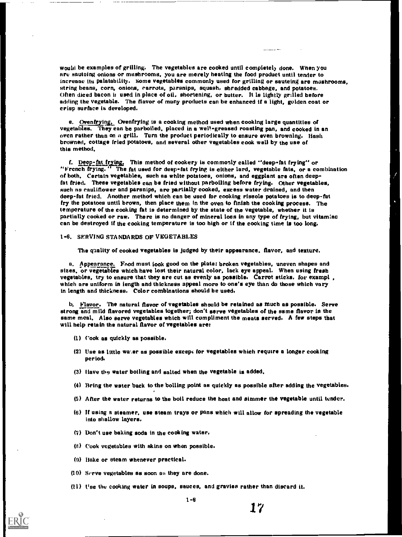would be examples of grilling. The vegetables are cooked until complete) done. When you are sauteing onions or mushrooms, you are merely heating the food product until tender to increaae its palatability. Some vegetables commonly used for grilling or sauteing are mushrooms, string beans, corn, onions, carrots, parsnips, squash, shredded cabbage, and potatoes. Often diced bacon it used in place of oil, shortening, or butter. It Is lightly grilled before adding the vegetable. The flavor of many products can be enhanced if a light, golden coat or crisp surface is developed.

e. Ovenfrying. Ovenfrying is a cooking method used when cooking large quantities of vegetables. They can be parboiled, placed in a well-greased roasting pan, and cooked in an oven rather than on n grill. Turn the product periodically to ensure even browning. Hash browned, cottage tried potatoes, and several other vegetables cook well by the use of this method,

f. Deep-fat frying. This method of cookery is commonly called "deep-fat frying" or "French frying. The fat used for deep-fat frying is either lard, vegetable fats, or a combination of both, Certain vegetablee, such as white potatoes, onions, and eggplant are often deepfat fried. These vegetables can be fried without parboiling before frying. Other vegetables, such ns cauliflower and parsnips, are partially cooked, excess water drained, and then deep-fat fried. Another method which can be used for cooking rissole potatoes is to deep-fat fry the potatoes until brown, then place them in the oven to finish the cooking process. The temperature of the cooking fat is determined by the state of the vegetable, whether it is partially cooked or raw. There is no danger of mineral loss in any type of frying, but vitamlne can be destroyed if the cooking temperature is too high or if the cooking time is too long.

# 1-6. SERVING STANDARDS OF VEGETABLES

The quality of cooked vegetables is judged by their appearance, flavor, and texture.

a. Appearance. Food must look good on the plate: broken vegetables, uneven shapes and sizes, or vegetables which have lost their natural color, lack eye appeal. When using fresh vegetables, try to ensure that they are cut as evenly as possible. Carrot sticks, for exempt , which are uniform in length and thickness appeal more to one's eye than do those which vary in length and thickness. Color combinations should be used.

b. Flavor. The natural flavor of vegetables should be retained as much as possible. Serve strong and mild flavored vegetables together; don't serve vegetables of the same flavor in the same meal, Also serve vegetables which will compliment the meats served. A few steps that will help retain the natural flavor of vegetables are:

- (I) Cook as quickly as possible.
- (2) Use as little water as possible except for vegetables which require a longer cooking period.
- (3) Have the water boiling and salted when the vegetable is added,
- (4) Bring the weer back to the boiling point as quickly as possible after adding the vegetables.
- (5) After the Water returns to the boil reduce the heat and simmer the vegetable until tender.
- (6) If using a steamer, use steam trays or pans which will allow for spreading the vegetable Into shallow layers,
- (7) Don't use baking soda in the cooking water,
- (1) Cook vegetables with skins on when possible.
- (9) Bake or steam whenever practical.
- (10) Serve vegetables 88 soon as they are done.
- (11) Use the cooking water in soups, sauces, and gravies rather than discard it.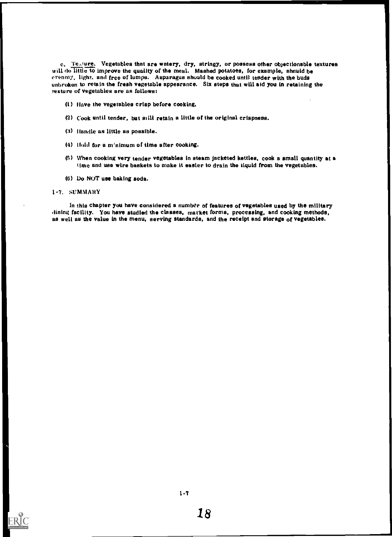c. Testure. Vegetables that are watery, dry, stringy, or possess other objectionable textures will do little to improve the quality of the meal. Mashed potatoes, for example, shnuid be creamy, light, and free of lumps. Asparagus should be cooked until tender with the buds unbroken to retain the fresh vegetable appearance. Six steps that will aid you in retaining the texture of vegetables are as follows:

- (i ) Have the vegetables crisp before cooking.
- (2) Cook until tender, but still retain a little of the original crispness.
- (3) Handle as little as possible.
- (4) Hold for a minimum of time after cooking.
- (5) When cooking very tender vegetables in steam jacketed kettles, cook a small quantity at a time and use wire baskets to make it easier to drain the liquid from the vegetables.
- (6) Do NOT use baking soda.

#### 1-7. SUMMARY

In this chapter you have considered a number of features of vegetables used by the military (lining facility. You have studied the classes, market forms, processing, and cooking methods, as well as the value in the menu, serving standards, and the receipt and storage of vegetables.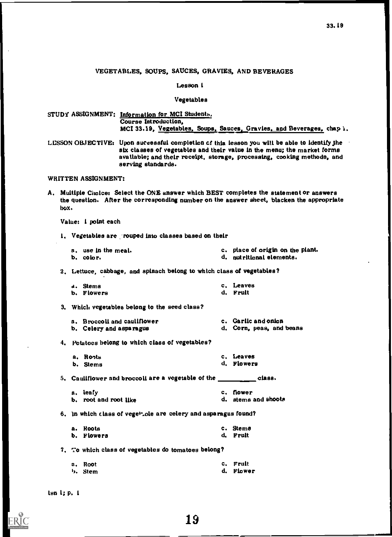# VEGETABLES, SOUPS, SAUCES, GRAVIES, AND BEVERAGES

# Lesson 1

# Vegetables

| STUDY ASSIGNMENT: Information for MCI Students.                       |
|-----------------------------------------------------------------------|
| Course Introduction,                                                  |
| MCI 33.19, Vegetables, Soups, Sauces, Gravies, and Beverages, chap i. |
|                                                                       |

LESSON OBJECTIVE: Upon successful completion of this lesson you will be able to identify the six classes of vegetables and their value in the menu; the market forms avallable; and their receipt, storage, processing, cooking methods, and serving standards.

# WRITTEN ASSIGNMENT:

A. Multiple Choice: Select the ONE answer which BEST completes the statement or answers the question. After the corresponding number on the answer sheet, blacken the appropriate box.

Value: 1 point each

- 1. Vegetables are rouped into classes based on their
	- a. use in the meal.<br>b. color. color.<br>d. put ritional elements. d. nutritional elements.

2. Lettuce, cabbage, and spinach belong to which class of vegetables?

| d. Stems   | c. Leaves |
|------------|-----------|
| b. Flowers | d, Fruit  |

- 3. Which vegetables belong to the seed class?
	- a. Broccoli and cauliflower<br>b. Celery and asparagus c. Garlic and onion<br>d. Corn, peas, and beans b. Celery and asparagus
- 4. Potatoes belong to which class of vegetables?
	- a. Roots b. Stems c. Leaves d. Flowers

5. Cauliflower and broccoll are a vegetable of the \_\_\_\_\_\_\_\_class.

- a. leafy b. root and root like c. flower d. stems and shoots
- 6. In which class of vegettole are celery and asparagus found?

| a. Roots   | c. Stems |
|------------|----------|
| b. Flowers | d. Fruit |

7. To which class of vegetables do tomatoes belong?

| a. Root | c. Fruit  |
|---------|-----------|
| り、 Stem | d. Flower |

len 1; p, I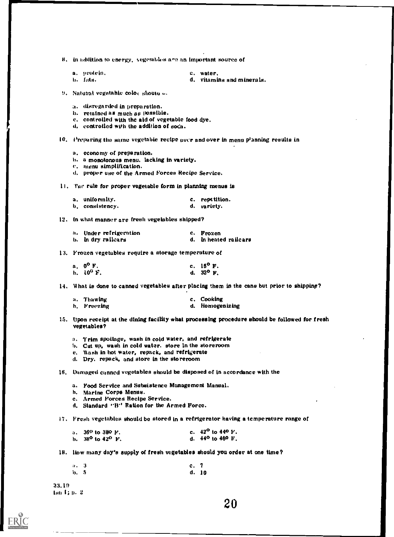8, in addition to energy, vegetables are an important source of

a. protein. b. fats.

c. water,

d. vitamins and minerals.

9. Natural vegetahle  $\cosh \epsilon$  shoute  $\epsilon$ .

- a. disregarded in preparation.
- b. retained as much as possible.
- c. controlled with the aid of vegetable food dye.
- d. controlled with the addition of soca.

10. **i**Preparing the same vegetable recipe over and over in menu planning results in

- a. economy of preparation,
- b. a monotonous menu. lacking in variety. c. menu simplification.
- 
- d. proper use of the Armed Forces Recipe Service.

11. The rule for proper vegetable form in planning menus is

| a, uniformity.  | c. repetition. |
|-----------------|----------------|
| b, consistency. | d. variety.    |

12. In what manner are fresh vegetables shipped?

| a. Under refrigeration | c. Frozen             |
|------------------------|-----------------------|
| b. In dry railears     | d. In heated railcars |

13. Frozen vegetables require a storage temperature of

| $a. 0^{\circ}$ F. | c. $15^{\circ}$ F. |  |
|-------------------|--------------------|--|
| $h. 10^0 F.$      | d. $32^{\circ}$ F. |  |

14. What is done to canned vegetables after placing them in the cans but prior to shipping?

| n. Thawing  | c. Cooking      |
|-------------|-----------------|
| h, Freezing | d. Homogenizing |

- 15. Upon receipt at the dining facility what processing procedure should be followed for fresh vegetables?
	- a. Trim spoilage, wash in cold water, and refrigerate
	- 1). Cut up, wash in cold water. store In the storeroom
	- e. Wash In hot water, repack, and refrigerate
	- d. Dry. repack, and store in the storeroom

16. Damaged conned vegetables should be disposed of In accordance with the

a. Food Service and Subsistence Management Manual.

- h. Marine Corps Menus.
- c. Armed 1'orces Recipe Service.
- d. Standard "B" Ration for the Armed Force.

17. Fresh vegetables should be stored in a refrigerator having a temperature range of

| $\mu_s = 36^{\circ}$ to 380 F.     | c. $42^{\circ}$ to $44^{\circ}$ F. |
|------------------------------------|------------------------------------|
| b. $38^{\circ}$ to $42^{\circ}$ F. | d. $44^{\circ}$ to $46^{\circ}$ F, |

18. How many day's supply of fresh vegetables should you order at one time?

| . a. 3 | c. 7 |       |
|--------|------|-------|
| b, 5   |      | d. 10 |

33,19 Ise 1; p. 2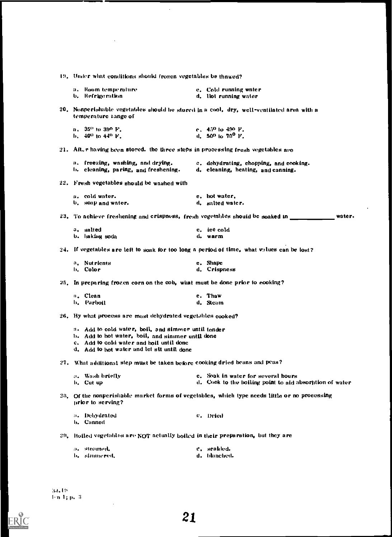| 19. Under what conditions should frozen vegetables be thnwed?                                                     |  |                                                                                                |  |  |  |
|-------------------------------------------------------------------------------------------------------------------|--|------------------------------------------------------------------------------------------------|--|--|--|
| a. Room temperature<br>b. Refrigeration                                                                           |  | c. Cold running wnter<br>d. llot running water                                                 |  |  |  |
| 20. Nonperishable vegetables should be stored in a cool, dry, well-ventilated area with a<br>temperature tange of |  |                                                                                                |  |  |  |
| $n_s$ 35 <sup>0</sup> to 390 F.                                                                                   |  | $c = 45^{\circ}$ to $49^{\circ}$ F.                                                            |  |  |  |
| $b_x = 40^0$ to $44^0$ F.                                                                                         |  | d. $50^0$ to $70^0$ F.                                                                         |  |  |  |
| 21. After having been stored, the three steps in processing fresh vegetables are                                  |  |                                                                                                |  |  |  |
| a. freezing, washing, and drying.                                                                                 |  | c. dehydrating, chopping, and cooking.                                                         |  |  |  |
| b. cleaning, paring, and freshening.                                                                              |  | d. cleaning, heating, and canning.                                                             |  |  |  |
| 22. Fresh vegetables should be washed with                                                                        |  |                                                                                                |  |  |  |
| a. cold water.                                                                                                    |  | c. hot water.                                                                                  |  |  |  |
| <b>b.</b> soap and water.                                                                                         |  | d. salted water.                                                                               |  |  |  |
| 23. To achieve freshening and crispnoss, fresh vegetniles should be soaked in ____                                |  | water.                                                                                         |  |  |  |
| a, salted                                                                                                         |  | c. ice cold                                                                                    |  |  |  |
| b. haking soda                                                                                                    |  | d. warm                                                                                        |  |  |  |
| 24. If vegetables are left to soak for too long a period of time, what values can be lost?                        |  |                                                                                                |  |  |  |
| a. Nutrients                                                                                                      |  | c. Shape                                                                                       |  |  |  |
| b, Color                                                                                                          |  | d. Crispness                                                                                   |  |  |  |
| 25. In preparing frozen corn on the cob, what must be done prior to cooking?                                      |  |                                                                                                |  |  |  |
| n. Clean<br>h, Parboil                                                                                            |  | c. Thaw<br>d. Steam                                                                            |  |  |  |
|                                                                                                                   |  |                                                                                                |  |  |  |
| 26. By what process are most deliydrated vegetables cooked?                                                       |  |                                                                                                |  |  |  |
| a. Add to cold water, boil, and simmer until tender<br>b. Add to hot water, boil, and simmer until done           |  |                                                                                                |  |  |  |
| c. Add to cold water and boil until done                                                                          |  |                                                                                                |  |  |  |
| d. Add to hot water and let sit until done                                                                        |  |                                                                                                |  |  |  |
| 27. What additional step must be taken before cooking dried beans and peas?                                       |  |                                                                                                |  |  |  |
| a. Wash briefly                                                                                                   |  | c. Soak in water for several hours                                                             |  |  |  |
| b. Cut up                                                                                                         |  | d. Cook to the boiling point to aid absoration of water                                        |  |  |  |
| prior to serving?                                                                                                 |  | 28. Of the nonperistiable market forms of vegetables, which type needs little or no processing |  |  |  |
| a. Dehydrated                                                                                                     |  | c. Dried                                                                                       |  |  |  |
| b. Canned                                                                                                         |  |                                                                                                |  |  |  |
| $29$ . Boiled vegetables are NOT actually boiled in their preparation, but they are                               |  |                                                                                                |  |  |  |
| a. steamed.                                                                                                       |  | c, scalded.                                                                                    |  |  |  |
| b. slmmered,                                                                                                      |  | d. blanched.                                                                                   |  |  |  |
|                                                                                                                   |  |                                                                                                |  |  |  |

 $\overline{\phantom{a}}$ 

l,

ERIC<br>ERIC

 $\bar{z}$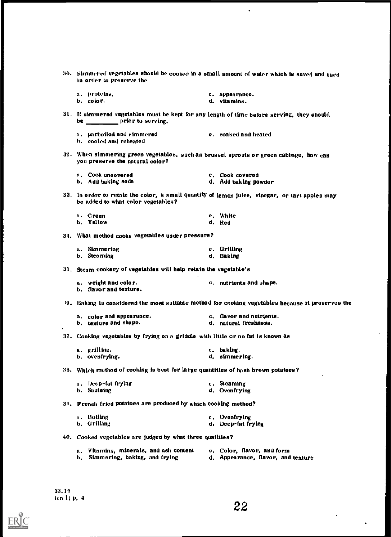| 30. Simmered vegetables should be cooked in a small amount of water which is saved and used<br>in order to preserve the              |                                                                                                               |
|--------------------------------------------------------------------------------------------------------------------------------------|---------------------------------------------------------------------------------------------------------------|
| a, proteins.                                                                                                                         | c. appearance.                                                                                                |
| b. color.                                                                                                                            | d. vitamins.                                                                                                  |
| 31. If simmered vegetables must be kept for any length of time before serving, they should<br>be ________ prior to serving.          |                                                                                                               |
| n. parboiled and simmered                                                                                                            | c. soaked and heated                                                                                          |
| b. cooled and reheated                                                                                                               |                                                                                                               |
| 32. When simmering green vegetables, such as brussel sprouts or green cabbage, how can<br>you preserve the natural coior?            |                                                                                                               |
| a. Cook uncovered                                                                                                                    | c. Cook covered                                                                                               |
| b. Add baking soda                                                                                                                   | d. Add baking powder                                                                                          |
| 33. In order to retain the color, a small quantity of lemon juice, vinegar, or tart apples may<br>be added to what color vegetables? |                                                                                                               |
| a. Green                                                                                                                             | c. White                                                                                                      |
| b. Yellow                                                                                                                            | d. Red                                                                                                        |
| 34. What method cooks vegetables under pressure?                                                                                     |                                                                                                               |
| a. Simmering                                                                                                                         | c. Grilling                                                                                                   |
| b. Steaming                                                                                                                          | d. Baking                                                                                                     |
| 35. Steam cookery of vegetables will help retain the vegetable's                                                                     |                                                                                                               |
| a. weight and color.                                                                                                                 | $c.$ nutrients and shape.                                                                                     |
| b. flavor and texture.                                                                                                               |                                                                                                               |
|                                                                                                                                      | <sup>16</sup> . Baking is considered the most suitable method for cooking vegetables because it preserves the |
| a. color and appearance.                                                                                                             | c. flavor and nutrients.                                                                                      |
| b. texture and shape.                                                                                                                | d. natural freshness.                                                                                         |
| 37. Cooking vegetables by frying on a griddle with little or no fat is known as                                                      | $\bullet$                                                                                                     |
| a. grilling.<br>b. ovenfrying.                                                                                                       | c. baking.<br>d. simmering.                                                                                   |
|                                                                                                                                      |                                                                                                               |
| 38. Which method of cooking is best for large quantities of hash brown potatoes?                                                     |                                                                                                               |
| a. Deep-fat frying<br>b. Sauteing                                                                                                    | c. Steaming<br>d. Ovenfrying                                                                                  |
| 39. French fried potatoes are produced by which cooking method?                                                                      |                                                                                                               |
| a. Boiling                                                                                                                           | c. Ovenfrying                                                                                                 |
| b. Grilling                                                                                                                          | d. Deep-fat frying                                                                                            |
| 40. Cooked vegetables are judged by what three qualities?                                                                            |                                                                                                               |
| a. Vitamins, minerals, and ash content                                                                                               | c. Color, flavor, and form                                                                                    |
| Simmering, baking, and frying<br>b. .                                                                                                | d. Appearance, flavor, and texture                                                                            |

 $\ddot{\phantom{0}}$ 

ERIC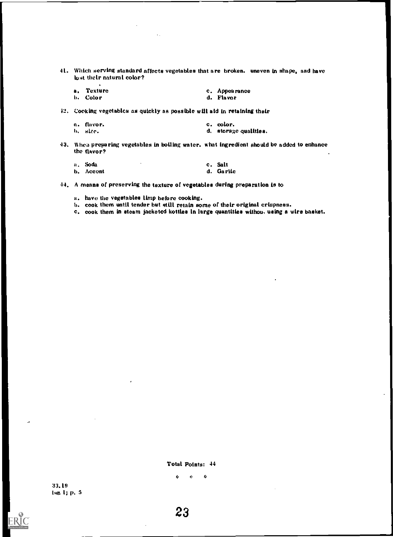41. Which serving standard affects vegetables that are broken. uneven in shape, and have lost their natural color?

| a. Texture | c. Appearance |
|------------|---------------|
| b. Color   | d. Flavor     |

12. Cooking vegetables as quickly an possible will aid in retaining their

| a. flavor. | c. color.             |
|------------|-----------------------|
| b. size.   | d. storage qualities. |

43. When preparing vegetables in boiling water. what ingredient should be added to enhance the flavor?

| a, Soda   |  | c. Salt   |
|-----------|--|-----------|
| b. Accent |  | d. Garlic |

- .14, A means of preserving the texture of vegetables during preparation is to
	- a. have the vegetables limp before cooking.
	- b. cook them until tender but still retain some of their original crispness.
	- c. cook them in steam jacketed kottles In large quantities withou, using a wire basket.

Total Points: 44

ý, Ý. r):

 $\mathbf{r}$ 

ERIC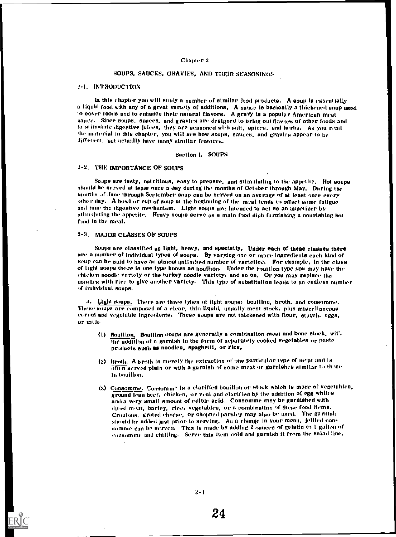#### Chapter 2

# SOUPS, SAUCES, GRAVIES, AND THEIR SEASONINGS

### 2-1. INTRODUCTION

In this chapter you will study a number of similar food products. A soup is essentially a liquid food with any of a great variety of additions, A sauce is basically a thickened soup used to cover foods and to enhance their natural flavors. A gravy is a popular American meat sauce. Since soups, sauces, and gravies are designed to bring out flavors of other foods and to stimulate digestive juices, they are seasoned with salt, spices, and herbs. As you read the material in this chapter, you will see how soups, sauces, and gravies appear to be different, but actually have many similar featores.

#### Section 1. SOUPS

### 2.2. THE IMPORTANCE OF SOUPS

Soaps are tasty, nutritious, easy to prepare, and stimulating to the appetite. Hot soups shoold he served at least once a day during the months of October through May. During the months of June through September soup can be served on an average of at least once every other day. A bowl or cup of soup at the beginning of the meal tends to offset some fatigue and tune the digestive mechanism. Light soups are intended to act 88 an appetizer by stimulating the appetite. Heavy soups serve as a main food dish furnishing a nourishing hot fred in the meal.

#### 2-3. MAJOR CLASSES OF SOUPS

Soups are classified as light, heavy, and specialty, Under each of these classes there are a number of individual types of soups. By varying one or more ingredients each kind of soup can he said to have an almost unlimited number of varieties. For example, in the class of light soups there is one type known as bouillon. Under the bouillon type you may have the chicken noodle vnriety or the turkey noodle variety, and so on. Or you may replace the noodles with rice to give another variety. This type of substitution leads to an endless number of individual soups.

a. Light soups. There are three types of light soups: bouillon, broth, and consomme. These soups are composed of a cicar, thin liquid, usually mest stock, plus miscellaneous cereal and vegetable ingredients. These soups are not thickened with flour, starch, eggs, or milk.

- it) Bouillon, Bouillon soups are generally a combination meat and bone stock, wit, the addition of a garnish in the form of separately cooked vegetables or paste products such as noodles, spaghetti, or rice,
- 12) Broth. A broth Is merely the extraction of one particular type of meat and is often served plain or with a garnish of some meat or garnishes similar to those in bouillon,
- (3) Consomme. Consomm" is a clarified bouillon or stock which is made of vegetables, ground lean beef. chicken, or veal and clarified by the addition of egg whites and a very small amount of edible acid. Consomme may be garnished with diced meat, barley, rice, vegetables, or a combination of these food items. Croutons, grated cheese, or chopped parsley may also be used. The garnish should be added just prior to serving. As a change in your menu, jellied consomme can be served. This is made by adding 2 ounces of gelatin to 1 gallon of consomme and chilling. Serve this item cold and garnish it from the salad line.

2-1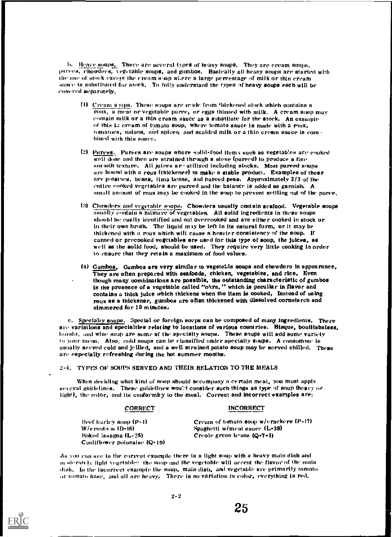b. Heavy soups. There are several types of heavy soups. They are cream soups, purees, chowders, veg. table soups, and gumbos. Basically all heavy soups are started with the use of stark except the cream soup wl.ere a large percentage of milk or thin cream sattee is substituted for stock. To faily anderstand the types of heavy soups esch will be covered separately.

- (1) Cream s amt. These soups are trade from 'hickened stock which contains a roux, a meat or vegetable purce, or eggs thimed with milk. A cream soup may contain milk or a thin cream sauce as a substitute for the stock. An example of this is eream of tomato soup, where tomato sauce is made with a roux, tomatoes, onions, and spices, and scalded milk or a thin cream sauce is combined with this sauce.
- (2) Purees. Purees are soups where solid-food items such as vegetables are cooked well done and then are strained through a sieve (pureed) to produce a fine smooth texture. All juices are utilized including stocks. Most pureed soups are bound with a roux (thickener) to make a stable product. Examples of these are potatoes, beans, lima beans, and pureed peas. Approximately 2/3 of the entire cooked vegetables are pureed and the balance is added as garnish. A small amount of roux may be cooked in the soup to prevent settling out of the puree.
- (3) Chowders and vegetable soups. Chowders usually contain seafood. Vegetable soups usually contain a mixture of vegetables. All solid ingredients in these soups should he easily itientified and not overcooked and are either cooked in stock or in their own broth. The liquid may be left in its natural form, or it may be thickened with a roux which will cause a heavier consistency of the soup. If canned or precooked vegetables are used for this type of soup, the juices, as well as the solid food, should be used. They require very little cooking in order to ensure that they retain a maximum of food values.
- (4) Gumbos, Gumbos are very similar to vegstet.ls soups and chowders in appearance, They are often prepared with seafoods, chicken, vegetables, and rice. Even though many combinations are possible, the outstanding characteristic of gumbos is the presence of a vegetable called "o'vra, " which is peculiar in flavor and contains a thick juice which thickens when the itsm Is cooked. Instead of using roux as a thickener, gumbos are oftsn thickened with dissolved cornstarch and simmered for 10 minutes.

c. Specially soups. Special or foreign soups can be composed of many ingredients. There are variations and specialties relating to locations of various countries. Bisque, bouillabaisss, borsht, and wine soap are some of the specialty soups. These soups will add some variety to your menu. Also, cold soups can be classified under specialty soups. A consomme is usually served cold and jellied, and a well strained potato soup may be served chilled. These are especially refreshing during the hot summer months.

#### 2-4, TYPES OF SOUPS SERVED AND THEIR RELATION TO THE MEALS

When deciding what kind of soup should accompany a certain meal, you must apply several guidelines. These guidelines would consider such things as type of soup (heavy  $\alpha$ e light), the color, and its conformity to the meal. Correct and incorrect examples are;

#### CORRECT INCORRECT

Baked lasagna  $(L-25)$  Creole green beams  $(Q-7-1)$ Cauliflower polonaise (R-19)

Beef burley soup (P-1) Cream of tomato soup w/erackcrs (P-17)  $W/$ e routons (D-16)  $S$ paghetti w/meat sauce (L-38)

As you can see in the correct example there is a light soup with a heavy main dish and In sirately light vegetable! the soup and the vegetable will accent the flavor of the main dish. In the incorrect example the soup, main dish, and vegetable are primarily tomato or loinato base, and all are heavy. There is no variation in color, everything is red,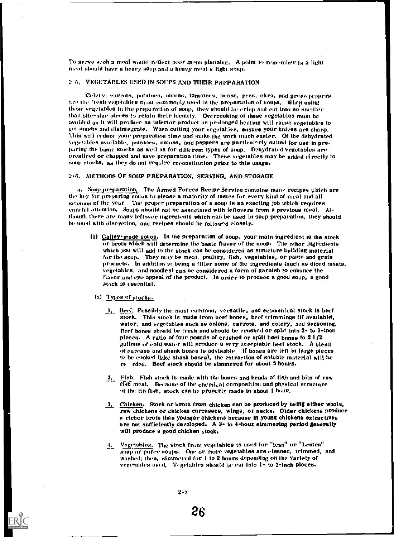To serve such a meal would reflect poor mome planning. A point to remember is a light moat should have a heavy soup and a heavy M"al a light soup.

# 2-5, VEGETABLES USED IN SOUPS AND THEIR PREPARATION

Celery, carrots, potatoes, onions, tomatoes, beans, peas, okra, and green peppers tire the tresh Vegetables most commonly used in the preparation of soups. When using these vegetables in the preparation of soup, they should be crisp and out into no smaller than bite-size pieces to retain their identity. Overcooking of these vegelables must be avoided as it will produce an inferior product us prolonged heating will rause vegetables to get mushy and disintegrate. When cutting your vegetables, ensure your knives are sharp. This will reduce your preparation time and make the work much easier, Of the dehydrated vegetables available, potatoes, onions, and peppers are particularly suited for use in pre-<br>parting the basic stocks as well as for different types of soup. Dehydrated vegetables are preslieed or chopped and save preparation time, These vegetables may be added directly to soup stocks, as they do not require reconstitution prior to this usage.

# -6. METHODS OF SOUP PREPARATIOX, SERVING, AND STORAGE

a. Somp preparation, The Armed Forces Recipe Service contains many recipes which are the key for preparing soups to please a majority of tastes far every kind of meal and all scasons of the year. The proper preparation of a soup is an exacting job which requires careful attention, Soups should not be associated with leftovers from a previous meal, Although there are many leftover ingredients which can be used in soup preparation, they should be used with discretion, and recipes should be followed closely.

(1) Galley made sowes. In the preparation of soup, your main ingredient is the stock or broth which will determine the basic flavor of the soup. The other ingredients which you will add to the stock can be considered as structure building material for the soup. They may be meat, poultry, fish, vegetables, or paste and grain prmlucts. In addition to being a filler some of the ingredients (such as diced meats, vegetables, and noodles) can be considered a form of garnish to enhance the flavor and eye appeal of the product. In order to produce a good soap, a good Mock is essential.

#### (a) Types of stocks.

- i. Hee:, Possibly the most common, versatile, and economical stock is beef stock. This stock is made from beef bones, beef trimmings (if available), water, and vegetables such as onions, carrots, and celery, and seasoning. Herr bones should be fresh and should be crushed or split into 2- to 3-inch pleces. A ratio of four pounds of crushed or split beef bones to  $21/2$ gallons of cold water will produce a very acceptable beef stock. A blend of carcass and shank bones is advisable If bones are left in large pieces to be cooked (like shank bones), the extraction of soluble material will be re rded. Beef stock should be simmered for about 5 hours.
- 2, Fish. Fish stock is made with the bones and heads of fish and bits of raw fish meat, Because of the chemical composition and physical structure of the fin fish, stock can be properly made in about  $1$  hour,
- 3. Chicken. Stock or broth from chicken can be produced by using either whole, raw chickens or chicken carcasses, wings, or necks. Older chickens produce a richer broth than younger chickens because in young chickens extractives are not sufficiently developed. A 3- to 4-hour simmering period geterally will produce a good chicken stock.
- 4. Vegetables. The stock from vegetables is used for "lean" or "Lenten" soup or puree soups. One or more vegetables are cleaned, trimmed, and washed; then, simmered for I to 2 hours depending on the variety of vegetables used, Vegetables should be cut into 1- to 2-inch pieces.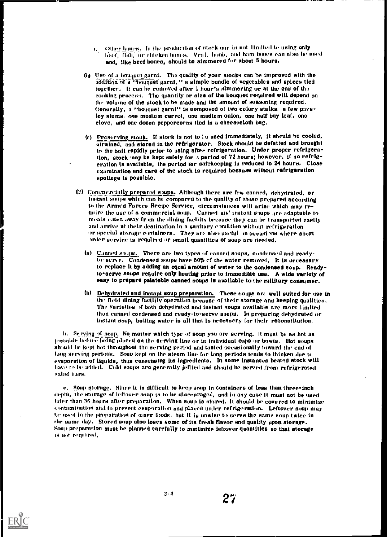- 5. Other bones. In the production of stock one is not limited to using only . beef, fish, or chicken bones, Veal, Iamb, and ham bones ran also be used and, like beef bones, should be simmered for about 5 hours,
- $\mathbf{\hat{u}}$  bouquet garni. The quality of your stocks can be improved with the addition of a "bouquet garni, " a simple bundle of vegetables and spices tied together, It can he removed after 1 hour's simmering or at the end of the cooking process. The quantity or size of the bouquet required will depend on the volume of the stock to be made and the amount of seasoning required. (lenerally, a "bouquet genii" is composed of two celery stalks, a few pasley stems, one medium carrot, one medium onion, one half bay leaf, one clove, and one dozen peppercorns tied in a cheesecloth bag.
- (c) Preserving stock. If stock is not to to used immediately, it should be cooled, strained, and stored in the refrigerator. Stock should be defatted and brought to the boil rapidly prior to using after refrigeration. Under proper refrigeration, stock nay be kept safely for a period of 72 hours; however, if no refrigeration is available, the period for safekeeping is reduced to 24 hours, Close examination and care of the stock is required because without refrigeration spoliage is possible.
- (2) Commercially prepared apups. Although there are few canned, dehydrated, or instant soups which can he compared to the qunlity of those prepared according to the Armed Forces Recipe Service, circumstances will arise which may require the use of a commercial soup. Canned  $\alpha u^T$  instant soups are adaptable to meals eaten away fr em the dining facility because they can be transported easily and arrive at their destination in a sanitary condition without refrigeration or special storage containers. They are also useful on occasions where short  $v$ rder service is required or smail quantities of soup are needed.
	- (a) Canned so tpe. There are two types of canned soups, condensed and readyto-sen e. Condensed soups have 50% et the water removed. It is necessary to replace it by adding an equal amount of water to the condensed soup. Readyto-serve soups require only heating prior to immediate use. A wide variety of easy to prepare palatable canned soups is available to the military consumer,
	- (b) Dehydrated and instant soup preparation. These soups are well suited for use in the field dining facility operntion because of their storage and keeping qualities, The varieties of both dehydrated and Instant soups available nre more limited than canned condensed and ready-to-serve soups. In preparing dehydrated or instant soup, boiling water is all that is necessary for their reconstitution.

it. Setving of soup, No matter which type of soup you are serving. It must be as hot as possible before being placed on the serving line or in individual cups or bowls. Hot soups should be kept hot throughout the serving period and tasted occasionally toward the end of long serving periods. Soup kept on the steam line for long periods tends to thicken due to evaporation of liquids, thus conuensing its ingredients. In some instances heated stock will have to be added. Cold soups arc generally jollied and should be served from refrigerated salad liars.

e, Soup storage. Since It is difficult to keep soup In containers of less than three-inch depth, the storage of leftover soup is to be discouraged, and in any case it must not be used later than 36 hours after preparation, When soup is stored, it should be covered to minimize contamination and to prevent evaporation and placed under refrigeration, Leftover soup may be used in the preparation of other foods, but it is unwise to serve the same soup twice in the same day. Stored soup also loses some of its fresh flavor and quality upon storage. Soup preparation must be planned carefully to minimize leftover quantities so that storage Ig MO required,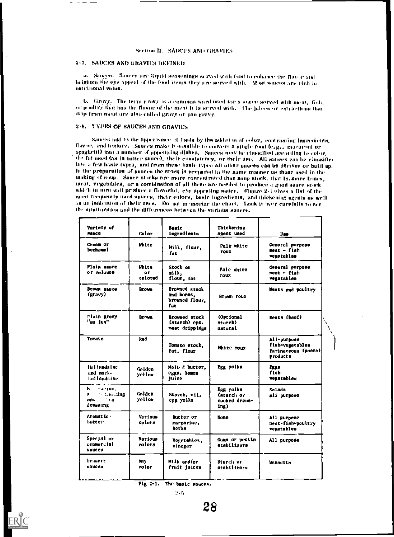# Section II. SAUCES AND GRAVIES

# SAUCES AND CitAVII:S DEFINED

a. Sauges,. Sauces are liquid seasonings served with food to cubance the flavor and heighten the eye appeal of the food items they are served with. Most sauces are rich in nutritional value.

 $b$ . Gravy. The term gravy is a common word used for a source served with meat, fish, or p withy that has the flavor of the meat it is served with. The juices or extractions that drip from meat are also called gravy or pan gravy.

#### 248. TYPES OF SAUCES AND GRAVIES

Sances nikl to the appearance of foods by the addition of color, contrasting ingredients, flavor, and texture. Suttees make it possible to convert a single food (e.g., macaroni or<br>spaghetti) into a number of appelizing dishes. Sances may be classified according to color. the fat used (as in butter smice), their consistency, or their use. All sauces can be chissified into a few haste types, and from these baste types all other sauces can be derived or built up. In the preparation at suuces the stock is prepured in the same manner us those used in the making of soup. Sauce stocks are more concentrated than soup stock, that is, nore bones,<br>most, vegetables, or a combination of all these are needed to produce a good sauce stock which in torn will prisluee a fluvorful, eye appealing sauce. Figure 2-1 gives a list of the<br>most frequently used sauces, their colors, basic ingredients, and thickening agents as well as au indication of their uses. The not numorize the chart. Look it beer carefully to see the similarities and the differences hetween the variatis sauces.

| Variety of<br><b>SAUCE</b>                                                  | Color                    | Basic<br>ingredients                                    | Thickening<br>agent used                                    | lise                                                              |  |
|-----------------------------------------------------------------------------|--------------------------|---------------------------------------------------------|-------------------------------------------------------------|-------------------------------------------------------------------|--|
| Cream or<br><b>bechanel</b>                                                 | White                    | Milk, flour,<br>fat                                     | Pale white<br><b>TOUX</b>                                   | General purpose<br>meat - fish<br>vegetablas                      |  |
| Ploin sauce<br>or veloute                                                   | White<br>٥r<br>colored   | Stock or<br>milk,<br>flour, fat                         | Pale white<br><b>TOUX</b>                                   | Ceneral purpose<br>meat - fiah<br>vegetables                      |  |
| Brown sauce<br>(gravy)                                                      | <b>Brown</b>             | Browned stock<br>and bones.<br>browned flour.<br>fat    | Brown roux                                                  | Meats and poultry                                                 |  |
| Plain gravy<br>"au jus"                                                     | Brown                    | <b>Browned stock</b><br>(starch) opt.<br>meat drippings | (Opt ional<br>starch)<br>natural                            | Meate (beof)                                                      |  |
| Tomato                                                                      | Red                      | Tomato stock,<br>fat, flour                             | White roux                                                  | All-purpose<br>fish-vegetables<br>farinaceous (paste)<br>products |  |
| llol l'endal se<br>and mock-<br>hollandaise                                 | Golden<br>yellow         | Helt d butter,<br>eggs, lomon<br>juice                  | Egg yolks                                                   | ERRO<br>fieh<br>vegetables                                        |  |
| b saeine,<br><b><i>and, existing</i></b><br>٠.<br>36 H.<br>anı.<br>dressing | Golden<br>yellow         | Starch, oil,<br>egg yolks                               | Egg yolks<br>(starch or<br>cooked dress-<br>ln <sub>R</sub> | Salada<br>ali purpose                                             |  |
| Aromat ic·<br>hutter                                                        | <b>Various</b><br>colors | <b>Butter or</b><br>margarine.<br>herbs                 | None                                                        | All purpose<br>meat-fish-poultry<br>vegetables                    |  |
| Special or<br>commercial.<br><b>BAUCCH</b>                                  | <b>Various</b><br>colors | Vegetables,<br>vinegar                                  | Gums or pectin<br>etabilizers                               | All purpose                                                       |  |
| Dessert<br><b>BAUCEB</b>                                                    | Any.<br>color            | Milk and/or<br>fruit juices                             | Sturch or<br><b>stabilizer</b> n                            | Desserts                                                          |  |
|                                                                             |                          |                                                         |                                                             |                                                                   |  |

Pig 2-1. The basic spaces.

ERIC

2-5

28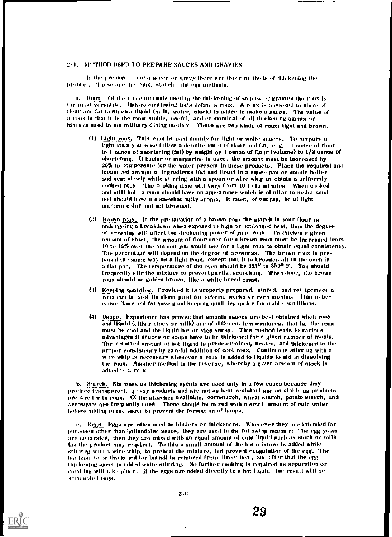# 2-11. METHOD USKD TO PREPARE SAUCES AND 011AVilt:S

In the preparation of a same or gravy there are three methods of thickening the product, These are the roux, starch, and egg methods.

 $a$ , Boux, Of the three methods used in the thickening of sauces or gravies the r  $\overline{a}$  is the urast versatite. Before continuing hols define a roux. A roux is a cooked m'xture of flour and fat to which a liquid (milk, water, stock) is added to make a sauce. The value of a roox is that it is the most stable, useful, and economical of all thickening agents or hinders used in the military dining faellity. There are two kinds of roux; light and brown.

- (1) Light roux. This roux is used mainly for light or white sauces. To prepare a light roux you most follow n definite- ratio of flour and fat. e. g. , 1 ounce of flour to 1 ounce of shortening (fat) by weight or 1 ounce of flour (volume) to  $1/2$  ounce of shortening. If butter  $m$  margarine is used, the amount must be increased by 20% to compensate for the water present in these products. Place the required and measored amount of ingredients (fat and flour) in a sauce pan or double boiler and heat slowly while stirring with a spoon or wire whip to obtain a uniformly rooked roux. The cooking time will vary from 10 to 15 minutes. When eooked and still hot, a roux should have an appearance which is similar to moist snnd and should have a somewhat nutty aroma. It must, of course, be of light uniform color and not browned,
- (2) Brown roux. In the preparation of a brown roux the starch In your flour is undergoing a breakdown when exposed to high or prolonged heat, thus the degree of browning will affect the thickening power of your roux, To thicken a given amount of  ${\sf stoch}$ , the amount of flour used for a brown roux must be increased from 10 to 15% over the amount you would use for a light roux to obtain equal consistency. The percentage will depend on the degree of browness. The brown roux is prepared the same way as a light roux, except that it is browned off in the oven in a flat pan. The temperature of the oven should be  $325^{\circ}$  to  $350^{\circ}$  F. You should frequently stir the mixture to prevent partial scorching. When done, the brown roux should be golden brown, like a white bread crust.
- (3) Keeping qualities. Provided it is properly prepared, stored. and ref igerated a roux can be kept (in glass jars) for several weeks Or even months. This is bevalise flour and fat have good keeping qualities under favorable conditions.
- Usage. Experience has proven that smooth sauces are best obtained when roux and liquid (either stock or milk) are of different temperatures, that Is, the roux must be cool and the liquid hot or vice versa. This method leads to various advantages if sauces or soups have to be thickened for a given number of meals, The required amount of hot liquid is predetermined, heated, and thickened to the proper consistency by careful addition of cool roux. Continuous stirring with a wire whip is necessary whenever a roux is added to ilquids to aid in dissolving the roux. Another method is the reverse, whereby a given amount of stock is added to a roux.

h. Starch, Starches as thickening agents are used only In a few cases because they produce transparent, glossy products and are not as heat resistant and as stable as pr 'ducts prepared with roux. Of the starches available, cornstarch, wheat starch, potato starch, and arrowroot are frequently used. These should be mixed with a small amount of cold water before adding to the sauce to prevent the formation of lumps.

 $v_i$ . Eggs. Eggs are often used as binders or thickeners. Whenever they are intended for purposes other than hollandalse sauce, they are used in the following manner: The egg yo.ks are separated, then they are mixed with an equal amount of cold liquid such as stock or milk (as the product may require). To this a small amount of the hot mixture is added while stirring with a wire whip, to preheat the mixture, but prevent coagulation of the egg. The hot base to be thickened (or bound) is removed from di reel heat, and after that the egg thickening agent is added while stirring. No further cooking is required as separation or covilling will take place. If the eggs are added directly to a hot liquid, the result will be serambled eggs.

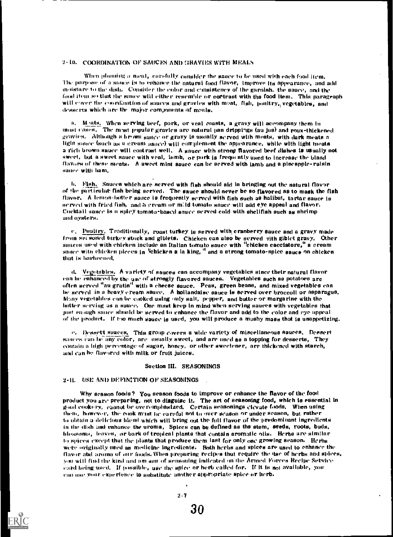# 2-10. COORDINATION OF SAUCES AND GRAVIES WITH MEALS

When planning a noal, carefully consider the sauce to be used with each food item. The purpose of a souce is to enhance the natural food flavor, Improve Its appearance, and add moisture to 1k dish. Consider the color and consistency of the garnish, the sauce, and the food item so that the smore will either resemble or cortrast with the food Item. This paragraph will enver the coordination of sauces and gravies with meat, fish, poultry, vegetables, and desserts which are the major components of meals.

a. M ats. When serving beef, pork, or veal masts, a gravy will accompany them in most cases. The most popular gravies are natural pan drippings (au jus) and roux-thickened gravies. Although a brown sauce or gravy is usually served with meats, with dark meats a light sauce (such as a cream  $\mu$ ance) will complement the appearance, while with light meats a rich brown sauce will contrast well, A sauce with strong flavored beef dishes is usually not sweet, but a sweet sauce with veal, lamb,  $\sigma r$  pork is frequently used to increase the bland flavora of these meats. A sweet mint sauce can be served with iamb and a pineapple-raisin sauce with ham.

b, Fish, Sauces which are served with fish should aid in bringing out the natural flavor of the particular fish being served. The sauce should never be so flavored as to mask the fish flavor. A lemon-butter sauce is frequently served with fish such as halibut, tartar sauce is served with fried fish, and a cream or mild tomato sauce will add eye appeal and flavor. Cocktail sance is a spicy tomato-based sauce served cold with shellfish such as shrimp and oysters.

e, Pouitrv. Traditionally, roast turkey is served with, cranberry sauce and a gravy made from Secsoned turkey stock and giblets. Chicken can also be served vith giblet gravy. Other sauces used with chicken include an Italian tomato sauce with "chicken cacciatore," a cream sauce with chicken pieces in  $^{\text{t}}$ chicken a la king,  $^{\text{t}}$  and a strong tomato-spice sauce on chicken that is barbecued.

d. Vegetables. A variety of sauces can accompany vegetables since their natural flavor ran be enhanced by the use of strongly flavored sauces, Vegetables such as potatoes arc often served "au gratin" with a cheese sauce. Peas, green beans, and mixed vegetables can be served in a heavy cream sauce. A hollandaise sauce is served over broccoli or asparagus. Many vegetables con be cooked using only sait, pepper, and butter or margarine with the hatter serving us a sauce. One must keep in mind when serving sauces with vegetables that pat enaugh sauce should be served to enhance the flavor and add to the color and eye appeal of the peoduct, if too much sauce is used, you will produce a mushy mass that is unappetizing.

 $v_i$ . Dessett sauces. This group covers a wide variety of miscellaneous sauces. Dessert sames can be any color, are usually sweet, and are used as a topping for desserts, They contain a high percentage of sugar, honey, or other sweetener, are thickened with starch, and can be flavored with milk or fruit juices.

# Section III. SEASONINGS

# 2-II. USE AND DEFINITION OF SEASONINGS

Why season foods? You season foods to improve or enhance the flavor of the food product you are preparing, not to disguise it. The art of seasoning food, which is essential in wuni cookery, cannot be overemphasized. Certain seasonings elevate foods, When using then., however, the cook mist be careful not to over season or under season, but rather to obtain a delicious blend which will bring out the full flavor of the predominant ingredients in the dish and enhance the aroma, Spices can be defined as the stem, seeds, roots, buds, blossoms, leaves, or bark of tropical plants that contain aromatic oils. Herbs are similar lo spices except that the plants that produce them last for only one growing season. Herbs were originally used as medicine Ingredients. Roth herbs and spices are used to enhance the flavor and aroma of our foods. When preparing recipes that require the use of herbs and spices, 'vou will find the kind and am ant of seasoning indicated on the Armed Forces. Recipe Setvice. eard being used. If possible, use the spice or herb called for. If it is not available, you ran use y. experienee to substitute another matrairiate spice or herb.

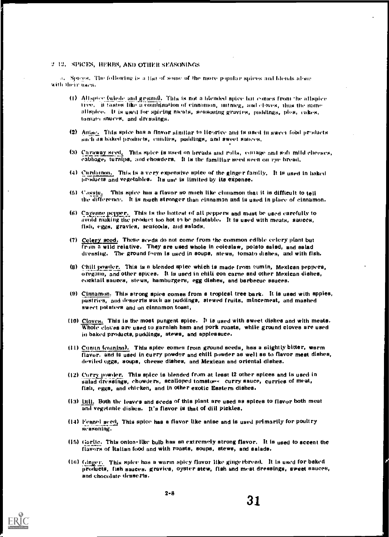# 2, 12. SPICES, HERBS, AND OTHER SEASONINGS

a. Spices, The following is a list of some of the more popular spices and blends along with their uses.

- (1) All spice (whole and ground). This is not a hiended spice but connes from the all spice tree, it tastes like a combination of cinnamon, mitnieg, and cloves, thus the name allspice. It is used for spicing meats, seasoning gravies, puddings, pies, cakes, tomato shuces, and dressings.
- (2) Anise. This spice has a finvor similar to licorice and is used in sweet food products  $\overline{\text{such}}$  as baked products, enudies, puddings, and sweet sauces,
- (3) Caraway seed, This spice is used on breads and rolls, coitage and soft mild cheeses, cabbage, turnips, and chowders. It is the familiar seed seen on eye bread,
- () Cardamon. This is a very expensive spice of the ginger family, It is used in baked products and vegetables. Its use is limited by its expense.
- (5) Cassia. This spice has a flavor so much like cinnamon that it is difficult to tell the difference. It is much stronger than einnamon and is used in place of cinnamon.
- (6) Cayenne pepper. This is the hottest of all peppers and most be used carefully to avoid making the product too hot to be palatable. It is used with meats, sauces, fish, eggs, gravies, seafoods, and salads,
- (7) Colery seed. These seeds do not come from the common edible celery plant but from a wild relative. They are used whole in coleslaw, potato salad, and salad dressing. The ground form is used in soups, stews, tomato dishes, and with fish.
- (8) Chili powder. This is a blended spice which is made from cumin, Mexican peppers, oregano, and other spices. It is used in chili con came and other Mexican dishes, cocktail sauces, stews, hamburgers, egg dishes, and barbecue sauces.
- (9) Cinnamon. This strong spice comes from a tropical tree bark. It is used with apples, pastries, and desserts such as puddings, stewed fruits, mincemeat, and mashed sweet potatoes and on cinnamon toast,
- (10) Cloves, This is the most pungent spice. 11 is used with sweet dishes and with meats. Whole cloves arc used to garnish ham and pork roasts, while ground cloves are used in baked products, puddings, stews, and applesauce.
- I) Cumin (twline)). This spice comes from ground seeds, has a slightly bitter, warm flavor, and is used in curry powder and chili powder as well as to flavor meat dishes, deviled eggs, soups, cheese dishes, and Mexican and oriental dishes.
- $(12)$  Curry powder. This spice is blended from at least 12 other spices and is used in salad dressings, chowders, scalloped tomatoes curry sauce, curries of meat, fish, eggs, and chicken, and In other exotic Eastern dishes.
- 113) 1)111, Both the leaves and seeds of this plant are used as spices to flavor both meat and vegetable dishes. It's flavor is that of dill pickles.
- (14) Fennel seed. This spice has a flavor like anise and is used primarily for poultry seasoning.
- (15) Garlic. This onion- like bulb has an extremely strong flavor. It is used to accent the flavors of Italian food and with roasts, soups, stews, and salads.
- (16) (singer. This spice has a warm spicy flavor like gingerbread. It is used for baked products, fish sauces. gravies, oyster stew, fish and meal dressings, sweet sauces, and chocolate desserts.

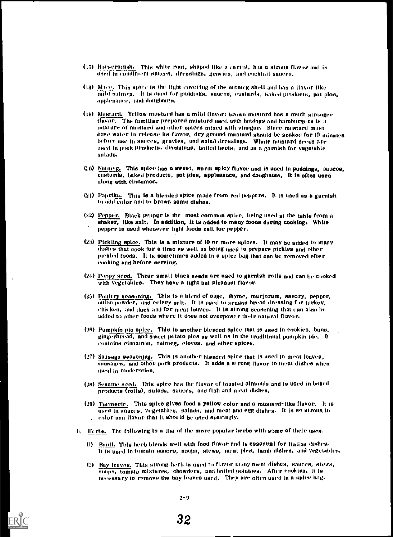- (17) Horseradish. This white root, shaped like a carrot, has a strong flavor and is used used In condiment sauces, dressings, gravies, and cocktail sauces.
- (18) Mice. This spice is the light covering of the nutmeg shell and has a flavor like mild nutmeg. It is used for puddings, sauces, eustards, baked products, pot pios, applesauce, and doughnuts.
- (19) Mustard. Yellow mustard has a mild flavor; brown mostnrd has a much stronger flavor. The familiar prepared mustard used with hotdogs and hamburgers is a mixture of mustard and other spices mixed with vinegar. Since mustard most have water to release its flavor, dry ground mustnrd should be snaked for 10 minutes before use in sauces, gravies, and salad dressings. Whole mustard seeds are used in pork products, dressings, boiled beets, and as a garnish for vegetahle salads.
- (10) Nutring, This spice has a sweet, warm spicy flavor and is used in puddings, sauces, custards, baked products, pot pies, applesauce, and doughnuts, It is often used along with cinnamon.
- $(21)$  Paprika. This is a blended spice made from red peppers. It is used as a garnish to add color and to brown some dishes.
- (22) Pepper. Black pepper is the most common spice, being used at the table from a shaker, like salt. In addition, it is added to many foods during cooking. White pepper is used whenever light foods call for pepper.
- (23) Pickling spice. This is a mixture of 10 or more spices. It may be added to many dishes that cook for a time as well as being used to prepare pickles and other pickled foods, It is sometimes added in a spice bag that can be removed ate r cooking and hefnre serving.
- (24) Poppy seed, These small black seeds are used to garnish rolls and can be cooked with vegetables. They have a light but pleasant flavor.
- (25) Poultry seasoning. This is a blend of sage, thyme, marjoram, savory, pepper, onion powder, and celery salt. It is used to season hread dressing fir turkey, chicken, and duck and for meat louves. It is strong seasoning that can also be added to other foods where it does not overpower their natural flavor.
- (26) Pumpkin pie spice, This is another blended spice that is used in cookies, buns, gingerhread, and sweet potato pies as well ns in the traditional pumpkin pie, ft contains cinnamon, nutmeg, cloves, and other spices.
- (27) Sausage seasoning. This is another hlended spice that is used in meat loaves, sausages, and other pork products. It adds a strong flavor to meat dishes when used in moderation,
- (211) Sesame seed. This spice has the flavor of toasted almonds and is used in baked products (rolls), salads, sauces, and fish and meat dishes,
- (29) Turmeric. This spice gives food a yellow color and a mustard-like flavor. It is used in sauces, vegetables, salads, and meat and egg dishes. It is so strong in color and flavor that it should be used sparingly.
- $b$ . Herbs. The following is a list of the more popular herbs with some of their uses.
	- (1) Basil, This herb blends well with food flavor and is essential for Italian eishes, it is used in tomato sauces, soaps, stews, meat pies, lamb dishes, and vegetables.
	- (2) Bay leaves. This strong herb is used to flavor many meat dishes, sauces, stews,  $\frac{1}{2}$  soups,  $\frac{1}{2}$  tomato mixtures, chowders, and botled potatoes. After cooking, it is aceessury to remove the bay leaves used. They are often used in a spier bag.

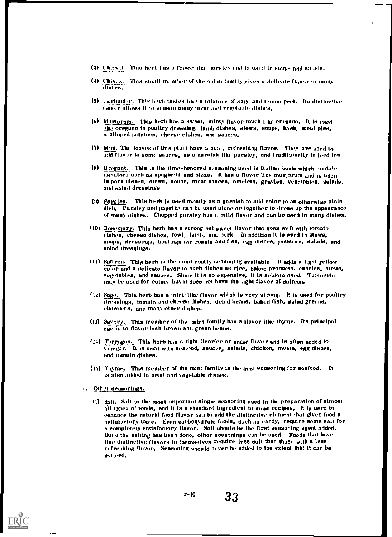- (3) Chervil. This herb has a flavor like parsley and is used in soups and salads.
- (4) Chives, This small member of the onion family gives a delicate flavor to many dishes,
- (5) . oriander. This herb tastes like a mixture of sage and lemon peel. Its distinctive flavor allows it to season many meat and vegetable dishes,
- (6) Marjoram. This herb has a sweet, minty flavor much like oregano. It is used like oregano in poultry dressing, Iamb dishes, stews, soups, hash, meat pies, scalloped potatoes, cheese dishes, and sauces,
- (7) Mant. The leaves of this plant have a cool, refreshing flavor. They are used to add flavor to some sauces, as a garnish like parsley, and traditionally in teed ten,
- $(8)$  Oregano, This is the time-honored seasoning used in Italian foods which contain tomatoes such as spaghetti and pizza. It has a flavor like marjoram and is used in pork dishes, stews, soups, meat sauces, omelets, gravies, vegetables, salads, and salad dressings.
- (9) Parsley. This herb is used mostly as a garnish to add color to an otherwise plain dish, Parsley and paprika can be used uione or together to dress up the appearance of many dishes. Chopped parsley has a mild flavor and can be used in many dishes.
- (10) Rosemary, This herb has a strong but sweet flavor that goes well with tomato dishes, cheese dishes, fowl, lamb, and pork. In addition it is used in stews, soups, dressings, bastings for roasts and fish, egg dishes, potatoes, salads, and salad dressings.
- (11) Saffron. This herb is the most costly seasoning available, It adds a light yellow color and a delicate flavor to such dishes as rice, baked products, candies, stews, vegetables, and sauces. Since it is so expensive, it Is seldom used. Turmeric may be used for color. but it does not have the light flavor of saffron,
- (12) Sage. This herb has a mint-like flavor which is very strong. It is used for poultry dressings, tomato and cheese dishes, dried beans, baked fish, salad greens, chowders, and many other dishes.
- (13) Savory, This member of the mint family has a flavor like thyme. Its principal use is to flavor both brown and green beans.
- 114) Tarragon. This herb has a light licorice or anise flavor and is often added to vinegar. It is used with seafood, sauces, salads, chicken, meats, egg dishes, and tomato dishes.
- (15) Thyme,. This member of the mint family is the best seasoning for seafood. It is also added to meat and vegetable dishes.
- c. O: her seasonings.
	- (1) Salt. Salt is the most important single seasoning used in the preparation of almost all types of foods, and it is a standard ingredient to most recipes, It is used to enhance the natural food flavor and to add the distinctive element that gives food a satisfactory taste, Even carbohydrate foods, such as candy, require some salt for a completely satisfactory flavor. Salt should be the first seasoning agent added. Once the salting has been done, other seasonings can be used. Foods that have fine distinctive flavors in themselves require less salt than those with a less refreshing flavor, Seasoning should never be added to the extent that it can be noticed,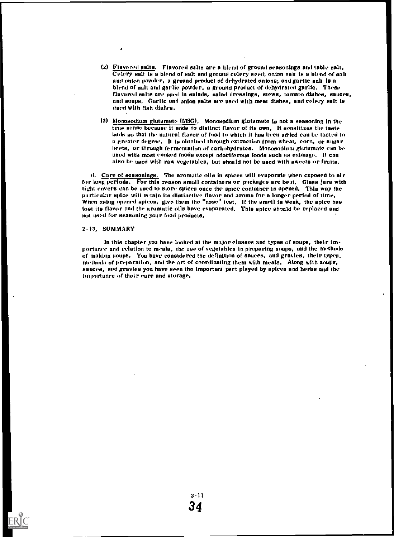- (2) Flavored salts. Flavored salts are a blend of ground seasonings and table salt, Celery salt is a blend of salt and ground celery seed; onion salt is a blend of salt and onion powder, a ground product of dehydrated onions; and garlic salt is a blend of salt and garlic powder, a ground product of dehydrated garlic. These flavored salts are used in salads, salad dressings, stews, tomato dishes, sauces, and soups. Garlic and onion salts are used with meat dishes, and celery salt is used with fish dishes.
- (3) Monosodium glutamate (MSG). Monosodium glutamate is not a seasoning in the true sense because it adds no distinct flavor of its own, It sensitizes the taste buds so that the natural flavor of food to which it has been added can be tasted to a greater degree. It is obtained through extraction from wheat, corn, or sugar beets, or through fermentation of carbohydrates. Monosodium glutamate can he used with mast cooked foods except odoriferous foods such as cabbage. It can also be used with raw vegetables, but should not be used with sweets or fruits.

d. Care of seasonings. The aromatic oils in spices will evaporate when exposed to air for long periods. For this reason small containers or packages are beat. Glass jars with tight covers can be used to siore spices once the spice container is opened, This way the particular spice will retain its distinctive flavor and aroma for a longer period of time. When asing opened spices, give them the "nose" test. If the smell is weak, the spice has lost its flavor and the aromatic oils have evaporated. This spice should be replaced and not used for seasoning your food products,

#### 2-13, SUMMARY

In this chapter you have looked at the major classes and types of soups, their importance and relation to meals. the use of vegetahles in preparing soups, and the methods of snaking soups. You have considered the definition of sauces, and gravies, their types. methods of preparation, and the art of coordinating them with meals. Along with soups, sauces, and gravies you have seen the important part played by spices and herbs and the importanee of their care and storage.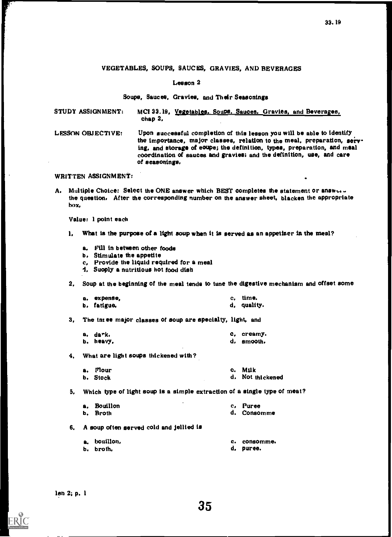# VEGETABLES, SOUPS, SAUCES, GRAVIES, AND BEVERAGES

# Lesson 2

Soups, Sauces, Gravies, and Their Seasonings

STUDY ASSIGNMENT: MCI 33.19, Vegetables. Soups. Sauces. Gravies, and Beverages, chap 2,

LESSON OBJECTIVE: Upon successful completion of this lesson you will be able to identify the importance, major classes, relation to the meal, preparation, serving. and storage of soups; the definition, types, preparation, and meal coordination of Sauces and gravies; and the definition, use, and care of seasonings.

WRITTEN ASSIGNMENT:

A. Multiple Choice: Select the ONE answer which BEST completes the statement or answer... the question. After the corresponding number on the answer sheet, blacken the appropriate box.

Value: 1 point each

- I. What is the purpose of a light soup when it is served as an appetiser in the meal?
	- a. Fill in between other foods
	- b. Stimulate the appetite
	- c, Provide the liquid required for a meal
	- 1. Supply a nutritious hot food dish

2, Soup at the beginning of the meal tends to tune the digestive mechanism and offset some

- a. expense, b. fatigue. c. time, d. quality.
- 3, The tni ee major classes of soup are specialty, light, and

| a, dark.  | c. creamy. |
|-----------|------------|
| b. heavy, | d, amooth, |

4. What are light soups thickened with?

| a. Flour | c. Milk          |
|----------|------------------|
| b. Stock | d. Not thickened |

- 5. Which type of light soup is a simple extraction of a single type of meat?
	- a. Bouillon b. Broth c. Puree d. Consomme
- 6. A soup often served cold and jellied is
- c. consomme.
- d, puree.

a. bouillon. b. broth.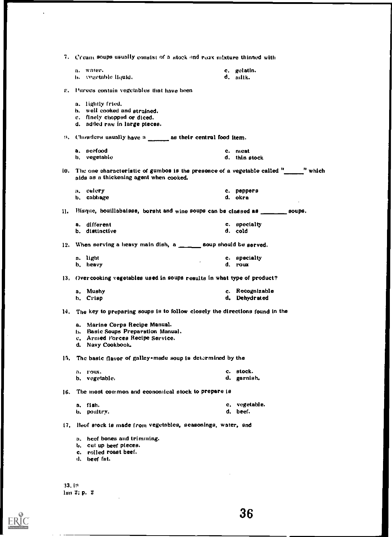|        | 7. Cream soups usually consist of a stock and roux mixture thinned with     |                                                                                                        |  |
|--------|-----------------------------------------------------------------------------|--------------------------------------------------------------------------------------------------------|--|
|        | a. water.                                                                   | c. gelatin.                                                                                            |  |
|        | b. vegetable liquid.                                                        | d. adlk.                                                                                               |  |
|        |                                                                             |                                                                                                        |  |
|        | 4. Purees contain vegetables that have been                                 |                                                                                                        |  |
|        |                                                                             |                                                                                                        |  |
|        | a. lightly fried,<br>b. well cooked and strained.                           |                                                                                                        |  |
|        | c. finely chopped or diced.                                                 |                                                                                                        |  |
|        | d. added raw in large pieces.                                               |                                                                                                        |  |
|        |                                                                             |                                                                                                        |  |
|        | $\mu$ . Chowders usually have $\mu = \mu$ as their central food item.       |                                                                                                        |  |
|        | a. seefood                                                                  | c. meat                                                                                                |  |
|        | b, vegetable                                                                | d. thin stock                                                                                          |  |
|        |                                                                             |                                                                                                        |  |
|        | aids as a thickening agent when cooked.                                     | 10. The one characteristic of gumbos is the presence of a vegetable called $"$ $"$ which               |  |
|        | a, celery                                                                   | c. peppers                                                                                             |  |
|        | b. cabhage                                                                  | d. okra                                                                                                |  |
|        |                                                                             |                                                                                                        |  |
| 11.    |                                                                             | Bisque, bouillabaisse, borsht and wine soups can be classed as $\frac{1}{\sqrt{1-\frac{1}{n}}}$ soups. |  |
|        | a. different                                                                | c. specialty                                                                                           |  |
|        | b. distinctive                                                              | d. cold                                                                                                |  |
|        |                                                                             |                                                                                                        |  |
|        | 12. When serving a heavy main dish, $a_1 = 0$ soup should be served.        |                                                                                                        |  |
|        | a. light                                                                    | c. specialty<br>d. roux                                                                                |  |
|        | b, heavy                                                                    |                                                                                                        |  |
|        | 13. Overcooking vegetables used in soups results in what type of product?   |                                                                                                        |  |
|        | a, Mushy                                                                    | c. Recognizable                                                                                        |  |
|        | b. Crisp                                                                    | d. Dehydrated                                                                                          |  |
| 14.    | The key to preparing soups is to follow closely the directions found in the |                                                                                                        |  |
|        | Marine Corps Recipe Manual.<br>а.                                           |                                                                                                        |  |
|        | <b>Basic Soups Preparation Manual.</b><br>ŀ۰.                               |                                                                                                        |  |
|        | c. Armed Forces Recipe Service.                                             |                                                                                                        |  |
|        | d. Navy Cookbook.                                                           |                                                                                                        |  |
| 15.    | The basic flavor of galley-made soup is determined by the                   |                                                                                                        |  |
|        | roux.<br>n.                                                                 | c. stock.                                                                                              |  |
|        | b, vegetable.                                                               | d. garnish.                                                                                            |  |
| 16.    | The most common and economical stock to prepare is                          |                                                                                                        |  |
|        | a. fish.                                                                    | c. vegetable.                                                                                          |  |
|        | poultry.<br>b.                                                              | d. beef.                                                                                               |  |
| 17.    | Beef stock is made from vegetables, seasonings, water, and                  |                                                                                                        |  |
|        | a. heef bones and trimming.                                                 |                                                                                                        |  |
|        | b. cut up beef pieces.                                                      |                                                                                                        |  |
|        | c. rolled roast beef.                                                       |                                                                                                        |  |
|        | d. beef fat.                                                                |                                                                                                        |  |
|        |                                                                             |                                                                                                        |  |
|        |                                                                             |                                                                                                        |  |
| 33, 19 |                                                                             |                                                                                                        |  |
|        |                                                                             |                                                                                                        |  |

ion 2: p. 2

 $\sum_{\mathcal{F}_{\text{full last Provided by EHC}}} \begin{matrix} \mathbf{C} \\ \mathbf{C} \end{matrix}$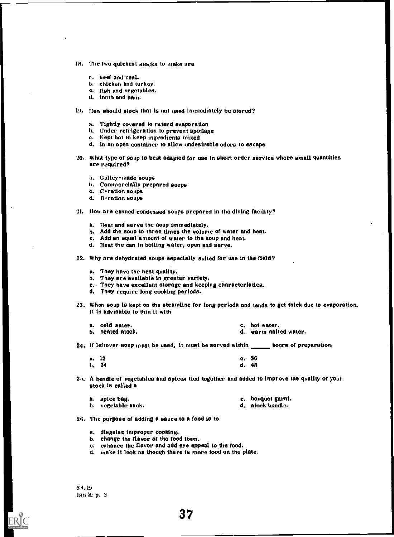- is. The two quickest stocks to make are
	- n. beef and veal.
	- b. chicken and turkey.
	- c. fish and vegetables.
	- d. lnrnh and ham.
- 19. How should stock that is not used immediately be stored?
	- a. Tightly covered to retard evaporation
	- h. Under refrigeration to prevent spoilage
	- c. Kept hot to keep ingredients mixed
	- d. In an open container to allow undesirable odors to escape
- 20. What type of soup is best adapted for use in short order service where small quantities are required?
	- a. Galley-made soups
	- b. Commercially prepared soups
	- c. C-ration soups
	- d. B-ration soups

### 21. liow are canned condensed soups prepared in the dining facility?

- a. Heat and serve the soup immediately.
- b. Add the soup to three times the volume of water and heat.
- c. Add an equal amount of water to the soup and heat.
- d. Heat the can in boiling water, open and serve.
- 22. Why are dehydrated soups especially suited for use in the field?
	- a. They have the best quality.
	- b. They are available in greater variety.
	- c.. They have excellent storage and keeping characteristics,
	- d. They require long cooking periods.
- 23. When soup is kept on the steamline for long perioda and tends to get thick due to evaporation, it is advisable to thin it with

| a. cold water.   | c. hot water.         |
|------------------|-----------------------|
| b. heated atock. | d. warm aalted water. |

24. If leftover aoup must be uaed, it must be served within \_\_\_\_ hours of preparation.

a. 12 c. 36 b. 24 d. 48

25. A bundle of vegetables and spices tied together and added to improve the quality of your stock is called a

a. spice bag.<br>b. vcgetable aack. h. c. bouquet garni.<br>d. atock bundle. b. vegetable aack.

26. The purpose of adding a sauce to a food is to

- a. disguise improper cooking.
- b. change the flavor of the food item.
- 0. enhance the flavor and add eye appeal to the food.
- d. make it look as though there is more food on the plate.

33. 19 In 2; p. 3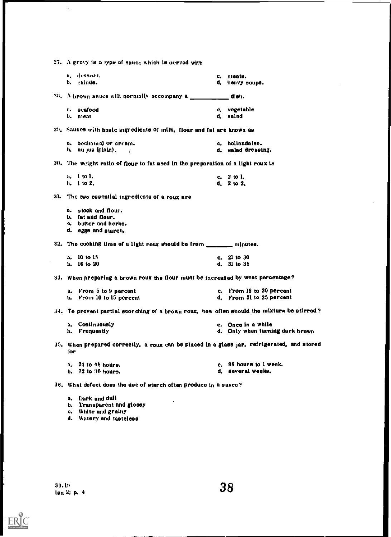27, A gravy is a type of sauce which is served with

 $\mathbf{r}$ 

|     | a, dessert,<br>b. galads.                                                                      |    | c. meats.<br>d. heavy soups.    |
|-----|------------------------------------------------------------------------------------------------|----|---------------------------------|
|     |                                                                                                |    |                                 |
|     | $^{20}$ . A brown sauce will normally accompany a $\_\_$ dish.                                 |    |                                 |
| a.  | seafood                                                                                        |    | c. vegetable                    |
| b.  | meat                                                                                           |    | d. salad                        |
|     | 29. Sauces with basic ingredients of milk, flour and fat are known as                          |    |                                 |
|     | a. bechamel or cream.                                                                          |    | c. hollandaise.                 |
|     | $h.$ au jus $($ plain $).$                                                                     |    | d. salad dressing.              |
|     | $30.$ The weight ratio of flour to fat used in the preparation of a light roux is              |    |                                 |
|     | a. 1 to 1.                                                                                     |    | c. $2 \text{ to } 1$ .          |
|     | b. 1 to 2.                                                                                     |    | d. 2 to 2.                      |
|     | 31. The two essential ingredients of a roux are                                                |    |                                 |
|     | a. stock and flour.                                                                            |    |                                 |
|     | b. fat and flour.                                                                              |    |                                 |
|     | c. butter and herbs.                                                                           |    |                                 |
|     | d. eggs and starch.                                                                            |    |                                 |
|     | 32. The cooking time of a light roux should be from $\frac{1}{\sqrt{1-\frac{1}{n}}}\$ minutes. |    |                                 |
| a.  | 10 to 15                                                                                       |    | c. 21 to $30$                   |
|     | b. 16 to 20                                                                                    |    | d. 31 to 35                     |
|     | 33. When preparing a brown roux the flour must be increased by what percentage?                |    |                                 |
| a.  | $From 5 to 9 percent$                                                                          |    | c. From 16 to 20 percent        |
| b.  | <b>From 10 to 15 percent</b>                                                                   |    | d. From 21 to 25 percent        |
|     | 34. To prevent partial scorching of a brown roux, how often should the mixture be stirred?     |    |                                 |
|     | a. Continuously                                                                                |    | c. Once in a while              |
|     | b. Frequently                                                                                  |    | d. Only when turning dark brown |
| fог | 35. When prepared correctly, a roux can be placed in a glass jar, refrigerated, and stored     |    |                                 |
|     | a. 24 to 48 hours.                                                                             |    | c. 96 hours to 1 week.          |
|     | b. 72 to 96 hours.                                                                             | d. | several weeks.                  |
|     | 36. What defect does the use of starch often produce $\ln a$ sauce?                            |    |                                 |
|     | a. Dark and dull                                                                               |    |                                 |
|     |                                                                                                |    |                                 |

- b, Transparent and glossy
- c. White and grainy
- d. Watery and tasteless

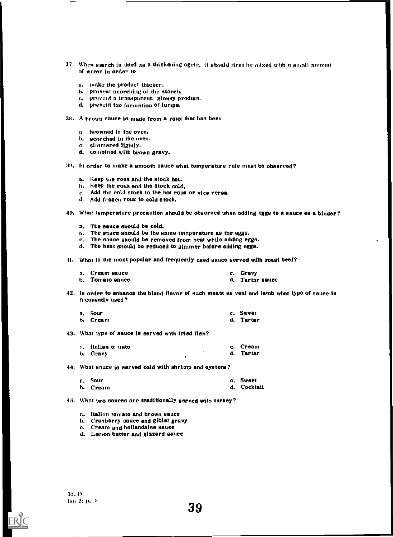- 37. When starch is used as a thickening agent, it should first be mixed with n small amount of wnter in order to
	- A. mnkc the product thicker.
	- b. prevent scorching of the starch.
	- c. preveht a transparent. glossy product.
	- 4, prevent the formntion of lumps.
- 38. A hrown sauce is made from a roux that has been
	- a. hrowned in the oven.
	- b. scorched in the oven.
	- c. simmered lightly.
	- d. combined with brown gravy.
- 39. in order to make a smooth sauce what temperature rule must be observed?
	- a. Keep the roux and the stock hot.
	- II. Keep the roux and the stock cold.
	- $c.$  Add the cold stock to the hot roux or vice versa.
	- d, Add frozen roux to cold stock.
- 40. What temperature precaution should be observed when adding eggs to a sauce as a binder?
	-
	- a. The sauce should be cold.<br>b. The squee should be the same temperature as the eggs. b. The sauce should be the same temperature as the eggs.
	- c. The sauce should be removed from heat while adding eggs.
	- d. The heat should be reduced to simmer before adding eggs.
- 1. What is the most popular and frequently used sauce served with roast beef?
	- a. Cream sauce c. Gravy b. Tomato sauce d. Tartar sauce
- 42. In order to enhance the bland flavor of such meats as veal and lamb what type of sauce isfrequently used?
	- a. Sour c. Sweet b. Cream d. Tartar
- 43. What type of sauce is served with fried fish?
	- o. Italian tchiato c. Cream b. Gravy d. Tartar
- 44, What snuce is served cold with shrimp and oysters?

| a. Sour  | c. Sweet    |
|----------|-------------|
| h. Cream | d. Cocktail |

- 45. What two sauces are traditionally served with turkey?
	- n. Italian tomato and brown sauce
	- b. Cranberry sauce and giblet gravy
	- c. Cream and hollandaise sauce
	- d. Lemon butter and gizzard sauce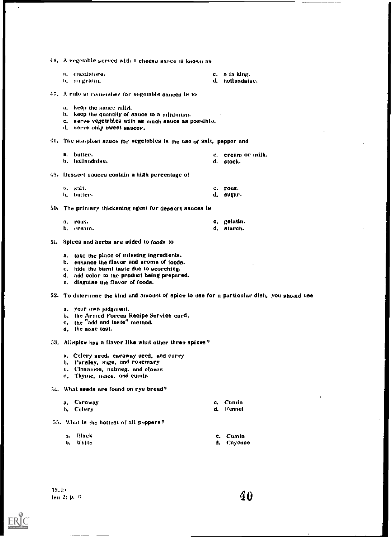|          | a, eacciatore.<br>b, au gratin,                                                            |          | c. a ia king.<br>d. hollandaise. |
|----------|--------------------------------------------------------------------------------------------|----------|----------------------------------|
|          | $47. \,$ A rule to remember for vegetable sances is to                                     |          |                                  |
|          | a. keep the sattee mild.                                                                   |          |                                  |
|          | b. keep the quantity of sauce to a minimum.                                                |          |                                  |
|          | c. serve vegetables with as much sauce as possible.                                        |          |                                  |
|          | d. serve only sweet sauces.                                                                |          |                                  |
|          | 42. The simplest sauce for vegetables is the use of salt, pepper and                       |          |                                  |
|          | a. butter.                                                                                 |          | c. cream or milk.                |
|          | h. hollandaise.                                                                            |          | d. stock.                        |
|          | 49. Dessert sauces contain a high percentage of                                            |          |                                  |
|          | a, salt,                                                                                   |          | e. roux.                         |
|          | b. butter-                                                                                 |          | d. sugar.                        |
|          | 50. The primary thickening agent for dessert sauces is                                     |          |                                  |
|          | a. roux.                                                                                   |          | c. gelatin.                      |
|          | b. cream.                                                                                  |          | d. starch.                       |
|          | 51. Spices and herbs are added to foods to                                                 |          |                                  |
|          | a. take the place of missing ingredients.                                                  |          |                                  |
|          | b. enhance the flavor and aroma of foods.                                                  |          |                                  |
|          | c. hide the burnt taste due to scorching.                                                  |          |                                  |
|          | d. add color to the product being prepared.<br>e. disguise the flavor of foods.            |          |                                  |
|          |                                                                                            |          |                                  |
|          | 52. To determine the kind and amount of spice to use for a particular dish, you should use |          |                                  |
|          | a. your own jadgment.                                                                      |          |                                  |
| b.<br>c. | the Armed Forces Recipe Service card.<br>the "add and taste" method.                       |          |                                  |
| d.       | the nose test.                                                                             |          |                                  |
|          | 53. Allspice has a flavor like what other three spices?                                    |          |                                  |
|          | a. Celery seed, caraway seed, and curry                                                    |          |                                  |
|          | b. Parsley, sage, and rosemary                                                             |          |                                  |
|          | e. Cinnamon, nutmeg. and cloves<br>d. Thyme, mace, and cumin                               |          |                                  |
|          |                                                                                            |          |                                  |
|          | 54. What seeds are found on rye bread?                                                     |          |                                  |
|          |                                                                                            |          |                                  |
|          | a. Caraway<br>b. Celery                                                                    | c.<br>d. | Cumin<br>Fennel                  |
|          | 55. What is the hottest of all peppers?                                                    |          |                                  |
| ù.       | Black                                                                                      | c.       | Cumin                            |

 $ERIC$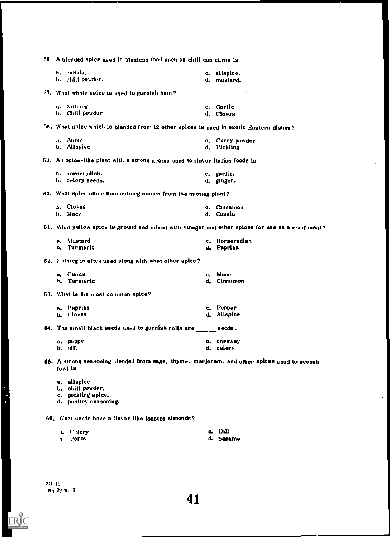56. A blended spice used in Mexican food such as chili con came is a, cassia. c. allspice. b. chili powder. and the contract of the contract of the contract of the contract of the contract of the contract of the contract of the contract of the contract of the contract of the contract of the contract of the contr 57. What whole spice is used to garnish ham? a. Nutmeg b. Chili powder c. Gnrlic d. Cloves 58. What spice which is blended from 12 other spices is uaed in exotic Eastern dishes? n. Aside b. Allspice c, Curry powder d. Pickling 59. An onion-like plant with a strong aroma used to flavor Italian foods is n, horseradish. b. celery seeds. c, garlic. d. ginger. 60. What spice other than nutmeg comes from the nutmeg plant? a. Cloves h, Mace c. Cinnamon d. Cassia 61, What yellow spice is ground and mixed with vinegar and other spices for use as a condiment? a. Mustard c. Horseradish b. Turmeric d. Paprika 62. Fittnieg is often used along with what other spice? a. Cumin b. Turmeric 63. What is the most common spice? a. Paprika b. Cloves c. Mace d. Cinnamon c. Pepper d. Allspice 64. The small black seeds used to garnish rolls are  $\_\_\_\_$  seeds. d. Allspice<br> $\frac{3}{2}$  seeds. a. poppy b. dill c. caraway d. celery 65. A itrong seasoning blended from sage, thyme, marjoram, and other spices used to season fowl is a. allspice L. chili powder. c. pickling spice. d. poultry seasoning.

66. What serls have a flavor like toasted almonds?

| a. Celery | c. Dill   |
|-----------|-----------|
| h. Poppy  | d. Sesame |

33.19 Isn 2; p. 7

 $\ddot{\phantom{0}}$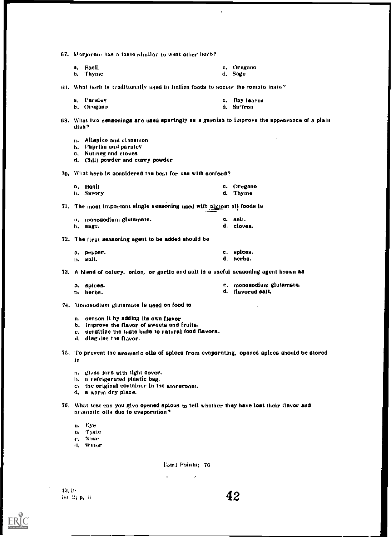67. Marjoram has a taste similar to what other hurb?

| n. Hasil        | c. Oregano |
|-----------------|------------|
| <b>b.</b> Thyme | d. Sage    |

60. What herb is traditionally used in Italian foods to accent the tomato Inste?

| n, Parsley | c. Rayleaves |
|------------|--------------|
| b. Oregano | d, Saffron   |

69. What two seasonings are used sparingly as s garnish to improve the appearance or a plain dish'

a. Allspice and cinnamon

b. I'aprika and parsley

c. Nutmeg and cloves

d. Chill powder and curry powder

70. What herb is considered the best for use with seafood?

| a, Basil  | c. Oregano |
|-----------|------------|
| h. Savory | d. Thyme   |

71. The most important single seasoning used with almost all foods is

| a. monosodium glutsmate. | c. salt.   |
|--------------------------|------------|
| h, aage.                 | d. cloves. |

72. The first seasoning agent to be added should be

| a. pepper. | c. splces. |
|------------|------------|
| h, salt,   | d. herbs.  |

73. A hlend of celery. onion, or garlic and salt is a useful seasoning agent known as

| a, spices.       | c. monosodium glutamste. |
|------------------|--------------------------|
| <b>b.</b> herbs. | d. fisvored salt.        |

74. Monosodium glutamate is used on food to

a. season it by adding Its own flavor

- b. improve the flavor of sweets and fruits.
- c. sensitize the taste buds to natural food flavors.
- d. disgulae the flavor.

75. To prevent the aromatic oile of spices from evaporating, opened spices should be stored In

- a. gloss Jars with tight cover.
- h. a refrigerated plastic bag.
- c. the original container in the storeroom.
- fl. a warm dry place.
- 76. What teat can you give opened spices to tell whether they have lost their flavor and aromatic oils due to evaporation?
	- H. Kye

**D.** Taste

v. Nose

d, Wawr

Total Points; 76

 $\mathbf{r}^{\top}$  $\bar{z}$  $\sim 10$ 

33.19 ism  $\overline{x}$ ;  $\overline{p}$ ,  $\overline{a}$  8 42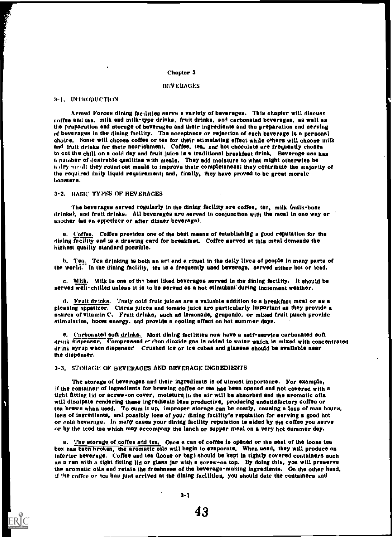#### Chapter 3

# **BEVERAGES**

### 3-1. INTRODUCTION

 $\bigg)$ 

Armed Forces dining facilities serve a variety of beverages. This chapter will discuss coffee and tea. milk end milk-type drinks, fruit drinks, and carbonated beverages, as well as the preparation and storage of beverages and their ingrediente and the preparation and serving of beverages in the dining facility. The acceptance or rejection of each beverage is a personal choice. Some will choose coffee or tee for their stimulating effect while others will choose milk and fruit drinks for their nourishment, Coffee, tea, and hot chocolate are frequently chosen to cut the chill one cold day and fruit juice is a traditional breakfast drink, Beverage use has a number of desirable qualities with meals. They add moisture to what might otherwise be a dry meal; they round out meals to improve their completeness; they contribute the majority of the required daily liquid requirement; and, finally, they have proved to be great morale boosters.

#### 3-2. HASK' TYPES OF BEVERAGES

The beverages served regularly in the dining facility are coffee, tea, milk (milk-base drinks), and fruit drinks. All beverages are served in conjunction with the meal in one way or another (as an appetizer or after dinner beverage).

a. Coffee. Coffee provides one of the best means of establishing a good reputation for the dining facility and is a drawing card for breakfast. Coffee served et this meal demands the highest quality standard possible.

b. Tea. Tea drinking is both an art and a ritual in the daily lives of people in many parts of the world. In the dining facility, tee is a frequently used beverage, served either hot or iced.

c. Mlik. Milk is one of the best liked beverages served in the dining facility. It should be served well-chilled unless it is to be served as a hot stimulant during inciement weather.

d. Fruit drinks. Tasty cold fruit juices are a valuable addition to a breakfast meal or as a pleasing appetizer. Citrus Juices and tomato juice are particularly important as they provide a source of vitamin C, Fruit drinks, such as lemonade, grapeade, or mixed fruit punch provide stimulation, boost energy. and provide a cooling effect on hot summer days,

e. Carbonnted soft drinks, Most dining facilities now have a self-service carbonated soft drink dispenser. Compressed enrhon dioxide gas is added to water which is mixed with concentrated drink syrup when dispensed Crushed ice or ice cubes and glasses should be available near the dispenser.

#### 3-3, STORAGE OF BEVERAGES AND BEVERAGE INGREDIENTS

The storage of beverages and their ingredients is of utmost importance. For example, if the container of ingredients for brewing coffee or tee has been opened end not covered with a tight fitting lid or screw-on cover, moisture  $\mu$ , the sir will be absorbed and the aromatic oils will dissipate rendering these ingredients less productive, producing unsatisfactory coffee or tea brews when used. To sum it up, improper storage can be costly, causing a loss of man hours, loss of ingredients, and possibly loss of you, dining facility's reputation for serving a good hot or cold beverage. In many cases your dining facility reputation is aided by the coffee you serve or by the iced tea which may accompany the lunch or supper meal on a very hot cummer day.

a. The storage of coffee and tea, Once a can of coffee is opened or the seal of the loose tea box has been broken, the aromatic oils will begin to evaporate, When used, they will produce en inferior beverage. Coffee and tee (loose or bag/ should be kept in tightly covered containers such as a ran with a tight fitting lid or glass jar with a screw-on top. By doing this, you will preserve the aromatic oils and retain the freshness of the beverage-making ingredients. On the other hand, if the coffee or tea has just arrived at the dining facilities, you should date the containers and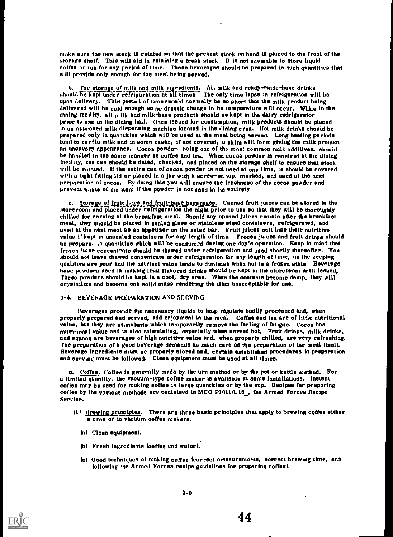make sure the new stock is rotated so that the present stock on hand Is placed to the front of the storage shelf. This will aid in retaining e fresh stock. It is not edvisable to store liquid coffee or tea for any period of time. These beverages should oe prepared in such quantities that will provide only enough for the meel being served.

b. The storage of milk and milk ingredients. All milk and ready-made-base drinks should be kept under refrigaration at all times. The only time lapse in refrigeration will be upon delivery. This period of time should normally be so short that the milk product being delivered will be cold enough so no drastic change in its temperature will occur. While in the dining fecility, all milk and milk-base products should be kept in the dairy refrigerator prior to use in the dining hail. Once issued for consumption, milk products should be placed in an approved milk diepensing machine located in the dining area. Hot milk drinks should be prepared only in quantities which will be used at the meal being served. Long heating periods tend to curdla milk and in some cases, if not covered, a skim will form giving the milk product an unsavory appearance. Cocoa powder. being one of the moat common milk additives. should be handled in the same manner es coffee and tea. When cocoa powder is received at the dining facility, the can should be dated, checked, aad placed on the storage shelf to ensure that stock will be rotated. If the entire can of cocoa powder is not used at one time, it should be covered with a tight fitting lid or placed in a jar with a screw-on top, marked, and used at the next preparation of cocoa. By doing this you will ensure the freshness of the cocoa powder and prevent waste of the item if the powder is not used in its entirety.

c. Storage of fruit juice and fruit-base beverages. Canned fruit juices can be stored in the Atoreroom and placed under refrigeration the night prior to use so that they will be thoroughly chilled for serving at the breakfast meal. Should any opened juices remain after the breakfast meal, they should be placed in sealed glass or stainless steel containers, refrigerated, and used at the next meal as an appetizer on the salad bar. Fruit juices will lose their nutritive value if kept in unsealed containers for any length of time. Frozen juices and fruit drinks should be prepared is quantities which will be consumed during one day's operation. Keep in mind that frozen juice concentrate should be thawed under refrigeration and used shortly thereafter. You should not leave thawed concentrate under refrigeration for any length of time, as the keeping qualities are poor and the nutrient value tends to diminish when not in a frozen state. Beverage be powdors used in making fruit flavored drinks should be kept in the storeroom until Issued, These powders should be kept in a cool, dry area. When the contents become damp, they will crystailize and become one solid mass rendering the item unacceptable for use.

# 3-4. BEVERAGE PREPARATION AND SERVING

Beverages provide the necessary liquids to help regulate bodily processes and, when properly prepared and served, add enjoyment to the meal. Coffee and tea are of tittle nutritional value, but they are stimulants which temporarily remove the feeling of fatigue. Cocoa has nutritional value and is also stimulating, especially when served hot, Fruit drinks, milk drinks, and eggnog are beverages of high nutritive value and, when properly chilled, are very refreshing. The preparation of a good beverage demands as much care as the preparation of the meal itself. Beverage ingredients must be properly stored and, certain established procedures in preparation end serving must be followed. Clean equipment must be used at all times.

a, Coffee. Coffee is generally made by the urn method or by the pot or kettle method. For a limited quantity, the vacuum -type coffee maker is available at some installations. Instant coffee may be used for making coffee in large quantities or by the cup. Recipes for preparing coffee by the various methods are contained in MCO PI0110.16\_, the Armed Forces Recipe Service.

- (1) Brewing principles. There are three basic principles that apply to brewing coffee either in urns or in vacuum coffee makers.
	- (a) Clean equipment.
	- (b) Fresh ingredients (coffee end water).
	- kJ Good techniques of making coffee (correct measuremonts, correct brewing time, and following the Armed Forces recipe guidelines for preparing coffee).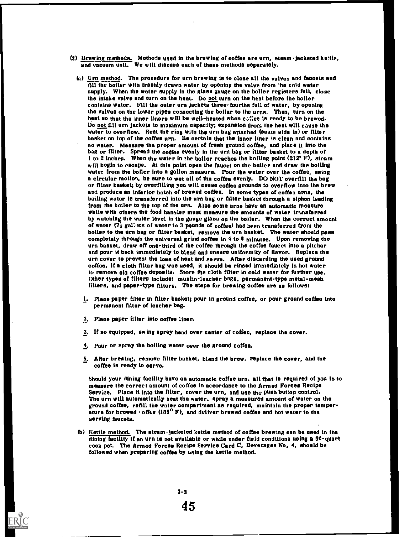- (2) <u>Brewing methods.</u> Methods used in the brewing of coffee are urn, steam-jacketed ke!tie, and vacuum unit. We will discuss each of these methods separately.
	- (a) Urn method. The procedure for urn brewing is to close all the valves and faucets and  $\frac{1}{111}$  the boiler with freshly drawn water by opening the valve from 'he cold water supply. When the water supply in the glass gauge on the boller registers full, close the intake valve and turn on the heat, Do not turn on the heat before the boiler contains water. Pill the outer urn jackets three -fourths full of water, by opening the valves on the lower pipes connecting the boiler to the urns. Then, turn on the heat so that tha inner liners will be well-heated when  $c.$ : The ls ready to be brewed. Do not fill urn jackets to maximum capacity; expansion from the heat will cause the water to overflow. Rest the ring with the urn bag attached (seam sida in) or filter basket on top of the coffee urn. Be certain that the inner liner is clean and contains no water. Measure tha proper amount of fresh ground coffee, and place it into the bag or filter. Spread the coffee evenly in the urn bag or filter basket to a depth of 1 to 2 inches. When the water in the boiler reaches the boiling point (212° F), steam will begin to escape. At this point open the faucet on the boiler and draw the boiling water from the boiler into a gallon measure. Pour the water over the coffee, using a circular motion, be sure to wet all of the coffee evenly. DO NOT overfill the bag or filter basket; by overfilling you will cause coffee grounds to overflow into the brew and produce an inferior batch of brewed coffee. In some types of coffee urns, the boiling water is transferred into the urn bag or filter basket through a siphon leading from the boiler to the top of the urn. Also some urns have an automatic measure whiie with others the food hangler must measure the smounts of water transferred by watching the waier level in the gauge glass oa the boiler. When the correct amount of water  $\{7\}$  gallons of water to 3 pounds of coffee) has been transferred from the boiler to the urn bag or filter basket, remove the urn basket. The water should pass completely through the universal grind coffee in 4 to 8 minutes. Upon removing the urn basket, draw off one-third of the coffee through the coffee faucet into a pitcher and pour it back immediately to blend and ensure uniformity of flavor. Replace the urn cover to prevent the loss of heat and serve. After discarding the used ground coffee, if a cloth filter bag was used, it shouid be rinsed immediately in hot water to remove old coffee deposits. Store the cloth filter in cold water for further use. Other types of filters include: muslin-leacher bags, permanent-type metal-mesh filters, and paper-type filters. The steps for brewing coffee are as follows:
		- 1. Place paper filter in filter basket; pour In ground coffee, or pour ground coffee into permanent filter of teacher bag.
		- 2. Place paper filter into coffee liner.

ERIC

- 3, If so equipped, swing spray head over canter of coffee, replace the cover.
- 4, Pour or spray the boiling water over the ground coffee.
- 5. After brewing, remove filter basket, blend the brew. replace the cover, and the coffee is ready to serve.

Should your dining facility have an automatic coffee urn. all that is required of you is to measure the correct amount of coffee in accordance to the Armed Forces Recipe Service. Place it into the filter, cover the urn, and use the push button control. The urn will automatically heat the water. spray a measured amount of water on the ground coffee, refill the water compartment as required, maintain the proper temperatura for brewed  $\cdot$  offee (185<sup>0</sup> F), and deliver brewed coffee and hot water to tha serving faucets.

(b) Kettle method. The steam-jacketed kettle method of coffee brewing can be used in the dining facility if an urn is not available or while under field conditions using a 80-quart cook pot. The Armed Forces Recipe Service Card C, Beverages No, 4, should be followed when preparing coffee by using the kettle method.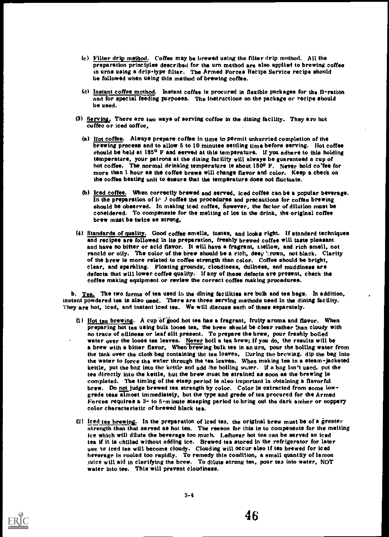- (c) Filter drip method. Coffee may be brewed using the filter drip mathod. All the preparation principles described for the urn method are also applied to brewing coffee in urns using a drip-type filter. The Armed Forces Recipe Service recipe should be followed when using this method of brewing coffee.
- $(4)$  Instant coffee method. Instant coffee is procured in flexible packages for the B-ration and for special feeding purposes. The instructions on the package or recipe should be used.
- (3) Serving, There are two ways of serving coffoe in the dining facility. They are hot coffee or iced coffee,
	- (a) Hot coffee. Always prepare coffee in time to permit unhurried completion of the brewing process and to allow 5 to 10 minutee settling time before serving. Hot coffee should be held at  $185^{\circ}$  F and eerved at this temperature. If you adhere to this holding temperature, your patrons at the dining facility will always be guaranteed a cup of hot coffee, The normal drinking temperature is about 1500 F. Never hold co fee for more than 1 hour as the coffee brews will change flavor and color. Keep a check on the coffee beating unit to ensure that the temperature does not fluctuate.
	- (b) Iced coffee. When correctly brewed and served, iced coffee can be a popular beverage. In the preparation of ic  $\beta$  coffee the procedures and precautions for coffee brewing should be observed. In making iced coffee, however, the factor of dilution mast be considered. To compensate for the melting of ice in the drink, the original coffee brew must be twice ae strong,
- (4) Standards of quality. Good coffee smells, tastes, and looks right. If standard techniques and recipes are followed in its preparation, freshly brewed coffee will taste pleasant and have no bitter or acid flavor. It will have a fragrant, mellow, and rich smell, not rancid or oily. The color of the brew should be a rich, deep "rown, not black. Clarity of the brew is more related to coffee strength than color. Coffee should be bright, clear, and sparkling. Floating grounds, cloudiness, dullness, and muddiness are defects that will lower coffee quality, if any of these defects are present, check the coffee making equipment or review the correct coffee making procedures.

b. Tea. The two forms of tea used in the dining facilities are bulk and tea bags. In addition, instant powdered tea is also used. There are three serving methods used in the dining facility. They are hot, iced, and instant iced tea. We will discuss each of these separately.

- (1) Hot tea brewing. A cup of good hot tea has a fragrant, fruity aroma and flavor. When preparing hot tea using bulk loose tea, the brew should be clear rather than cloudy with no trace of oiliness or leaf silt present. To prepare the brew, pour freshly boiled water over the loose tea leaves. Never boil a tea brew; if you do, the results will be a brew with a bitter flavor, When brewing bulk tea in an urn, pour the bolling water from the tank over the cloth bag containing the tea loaves, During the brewing, dip the bag into the water to force the water through the tea leaves. When making tea in a steam-jacketed kettle, put the bag Into the kettle and add he boiling water. if a bag isn't used, put the tee directly into the kettle, but the brew must be strained as soon as the brewing is completed. The timing of the steep period is also important in obtaining a flavorful brew. Do not judge brewed tea strength by color. Color is extracted from some lowgrede teas almost immediately, but the type and grede of tea procured for the Armed Forces requires a 3- to 5-minute steeping period to bring out the dark amber or coppery color characteristic of brewed black tea.
- (2) Iced tee brewing: In the preparation of iced tea, the original brew must be of a greater strength than that served as hot tea. The reason for this is to compensate for the melting ice which will dilute the beverage too much. Leftover hot tea can be served as iced tea if it is chilled without adding ice. Brewed tea stored In the refrigerator for later use 18 iced tea will become cloudy. Clouding will occur also if tea brewed for iced beverage is cooled too rapidly. To remedy this condition, a small quantity of lemon .iuice will aid in clarifying the brew. To dilute strong tea, pour tea Into water, NOT water into tee. This will prevent cloudiness,

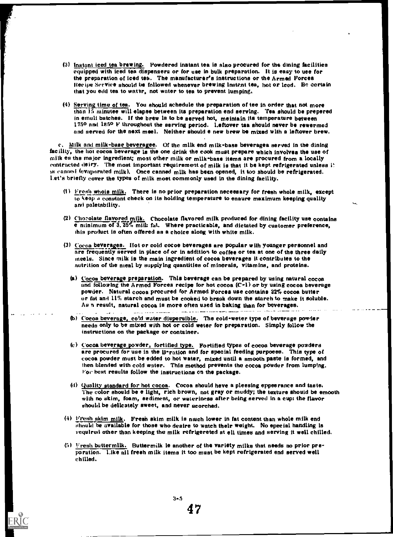- (3) instant iced tea brewing. Powdered instant tea is also procured for the dining facilities equipped with iced tea dispensers or for use in bulk preparation. It is easy to use for the preparation of iced tea. The manufacturer's instructions or the Armed Forces Recipe Service should be followed whenever brewing instent tea, hot or leed. Be certain that you edd tea to wattr, not water to tea to prevent lumping.
- (4) Serving time of tea. You should schedule the preparation of tee in order that not more than 15 minutes will elapse between its preparation end serving. Tea should be prepered in emuli batches. If the brew Is to be served hot, meintain its temperature between 1750 and 1850 V throughout the serving period. Leftover tea should never be rewermed and served for the next meel. Neither should e new brew be mixed with a leftover brew.

c. Milk and milk-base beverages. Of the milk end milk-base beverages served in the dining facility, the hot cocoa beverage is the one drink the cook must prepare which involves the use of milk es the major ingredient; most other milk or milk-base items are procured from a locally contracted deiry. The most important requirement of milk is that it be kept refrigerated unless it is canned (evaporated milk). Once canned milk has been opened, it too should be refrigerated. Let's briefly cover the types of milk most commonly used in the dining facility.

- $(1)$  Fresh whole milk. There is no prior preparation necessary for fresh whole milk, except to keep a constant check on its holding temperature to ensure maximum keeping quality and paletability.
- (2) Chocolate flavored milk. Chocolate flavored milk produced for dining facility use contains e minimum of 3.25% mill: fat. Where practicable, and dictated by customer preference, this product is often offered as a choice along with white milk.
- (3) Cocoa beverages . Rot or cold cocoe beverages are popular with younger personnel and are frequently served in place of or in addition to coffee or tea at one of the three daily meela. Since milk is the main ingredient of cocoa beverages it contributes to the nutrition of the meal by supplying quantities of minerals, vitamins, and proteins.
	- (a) Cocoa beverage preparation. This beverage can be prepared by using natural cocoa and following the Armed Forces recipe for hot cocoa  $(C-1)$  or by using cocoa beverage powder. Natural cocoa procured for Armed Forces use contains 22% cocoa butter or fat and 11% starch and must be cooked to break down the starch to make it soluble. As n result, natural cocoa is more often used in baking than for beverages. and a community of the community of the community of the community of the community of the community of the community of the community of the community of the community of the community of the community of the community of
	- (b) Cocoa beverage, cotd water dispersible. The cold-weter type of beverage powder needs only to be mixed with hot or cold weter for preparation. Simply follow the instructions on the package or container.
	- (c) Cocoa beverage powder, fortified type. Fortified types of cocoa beverage powders are procured for use in the B-ration and for special feeding purposes. This type of cocoa powder must be edded to hot water, mixed until a smooth paste is formed, and then blended with cold water. This method prevents the cocoa powder from lumping. For best results follow the instructions on the package.
	- (d) Quality standard for hot cocoa. Cocoa should heve a pleesing eppeerance and taste. The color should be e light, rich brown, not gray or muddy; the texture should be emooth with no skim, foam, sediment, or wateriness after being served in a cup: the flavor should be delicately sweet, and never scorched.
- (4) Fresh skim milk. Fresh skim milk is nuch lower in fat content than whole milk end should be available for those who desire to watch their weight. No epecial handling is required other than keeping the milk refrigereted at ell times and serving it well chilled.
- (51 Fresh buttermilk. Buttermilk is another of the variety milks that needs no prior preparation. Like all fresh milk items it too must be kept refrigerated end served well chilled.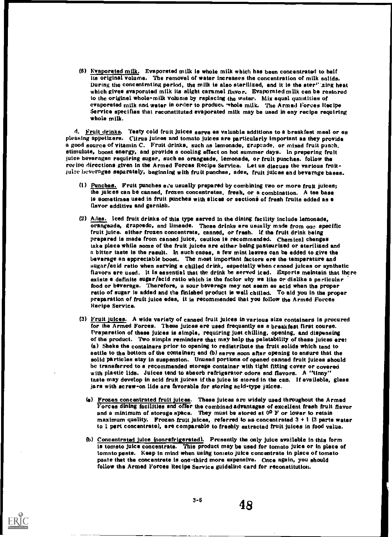(8) Kvaporeted milk. Evaporated milk is whole milk which has been concentrated to half its original volume. The removal of water increases the concentration of milk solids. During the concentrating period, the milk is also sterilized, and it is the ster"'sing heat which gives svaporated milk its slight caramel flavor. Evaporated milk cen be restored to the original whole-milk volume by replacing the water. Mix equal quantities of evaporated milk and water in order to product "hole milk. The Armed Forces Recipe Service specifies that reconstituted evaporated milk may be used in any recipe requiring whole milk.

d. Fruit drinks. Testy cold fruit juices serve as valuable additions to a breakfast meel or es pleasing appetizers. Citrus juices and tomato juices are particularly important as they provide a good source of vitamin C. Fruit drinks, such as lemonade, grapeade, or mixed fruit pinch. stimulate, boost energy, and provide a cooling effect on hot summer days. In preparing fruit juice beverages requiring sugar, such as orangeade, lemonade, or fruit punches. follow the recipe directions given in the Armed Forces Recipe Service. Let us discuss the various fruitjulte beverages separately, beginning with fruit punches, ades, fruit juices end beverage bases.

- (1) Punches. Fruit punches  $e_i$  usually prepared by combining two or more fruit juices; the juices can be canned, frozen concentrates, fresh, or a combination. A tea base is sometimes used in fruit punches with slices or sactioni of fresh fruits added as a flavor additive and garnish.
- $(2)$  Ades. iced fruit drinks of this type served in the dining facility include lemonade, orangeade, grapeade, and limeade. These drinks are usually made from one specific fruit juice. either frozen concentrate, canned, or fresh. if the fruit drink being prepared is made from canned juice, caution is recommended. Chemical changes take place while some of the fruit juices ere either being pasteurized or sterilized and a bitter taste is the result. In such cases, a few mint leaves can be added to give the beverage an appreciable boost. The most important factors are the temperature and sugar/ecid retio when serving a chilled drink, especially when canned juices or synthetic flavors are used. It is essential that the drink be served iced. Experts maintain that thcre exists a definite sugar/acid ratio which is the factor why we like or dislike a particular food or beverage. Therefore, a sour beverage may not seem as acid when the proper ratio of sugar is added and the finished product is wall chilled. To aid you in the proper preparation of fruit juice odes, it Is recommended that you follow the Armed Forces Recipe Service.
- (3) Fruit juices. A wide variety of canoed fruit juices in various size containers is procured for the Armed Forces. These juices are used frequently as a breakfast first course. Preparation of these juices is simple, requiring just chilling, opening, and dispensing of the product. Two simple reminders that may help the palatability of these juices are; (a) Shake the containers prior to opening to redistribute the fruit solids which tend to settle to the bottom of the container; and (b) serve soon after opening to ensure that the solid particles stay in suspension. Unused portions of opened canned fruit juices should be transferred to a recommended storage container with tight fitting cover or covered with plastic lids. Juices tend to absorb refrigerator odors end flavors. A "tinny" taste may develop in acid fruit juices if the juice is stored in the can. If evsileble, gless jars with screw-on lids are favorable for storing acid-type juices.
	- (a) Frozen concentrated fruit juices. These juices are widely used throughout the Armed Forces dining facilities end offer the combined advantages of excellent fresh fruit flavor and a minimum of storage space. They must be stored at  $0^{\circ}$  F or lower to retain maximum quelity. Frozen fruit juices, referred to as concentrated  $3 + 1$  (3 parts water to 1 part concentrate), are comparable to freshly extracted fruit juices in food value.
	- (b) Concentrated juice (aonrefrigerated). Presently the only juice available in this form is tomato juice concentrate. This product may be used for tomato juice or in place of tomato paste. Keep in mind when using tomato juice concentrate in place of tomato paste that the concentrate is one-third more expensive. Once again, you should follow the Armed Forces Recipe Service guideline card for reconstitution.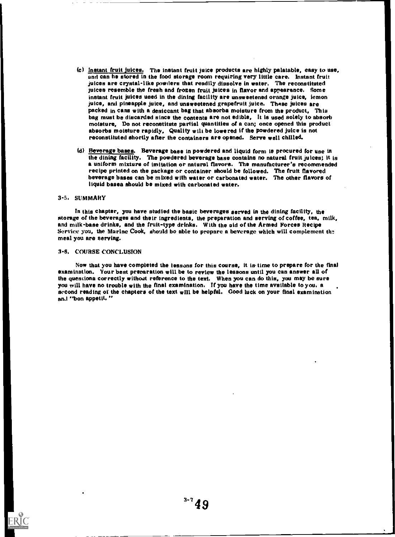- (c) Instant fruit Juices. The instant fruit juice products are highly palatable, easy to use, and can he stored in the food storage room requiring very little care. Instant fruit juices are crystal-like powders that readily dissolve in water. The reconstituted juices resemble the fresh and frozen fruit juices in flavor and appearance. Some instant fruit juices used in the dining facility are unsweetened orange juice, lemon juice, and pineapple juice, and unsweetened grapefruit juice. Those juices are packed in cans with a desiccant bag that absorbs moisture from the product, This bag must be discarded since the contents are not edible, It is used solely to absorb moisture, Do not reconstitute partial quantities of a can; once opened this product absorbs moisture rapidly, Quality wilt be lowered if the powdered juice is not reconstituted shortly after the containers are opened. Serve well chilled.
- (d) Beverage baaes. Beverage base in powdered and liquid form is procured for use in the dining facility. The powdered beverage base contains no natural fruit juices; it is a uniform mixture of imitation or natural flavors. The manufacturer's recommended recipe printed on the package or container should be followed. The fruit flavored beverage bases can be mixed with water or carbonated water. The other flavors of liquid bases should be mixed with carbonated water.

# 3-5. SUMMARY

In this chapter, you have studied the basic beverages served in the dining facility, the storage of the beverages and their ingredients, the preparation and serving of coffee, tea, milk, and milk-base drinks, and the fruit-type drinks. With the aid of the Armed Forces Recipe Service you, the Marine Cook, should be able to prepare a beverage which will complement the meal you are serving.

# 3-6. COURSE CONCLUSION

Now that you have completed the lessons for this course, it is time to prepare for the final examination. Your best preparation will be to review the lessons until you can answer all of the questions correctly without reference to the text. When you can do this, you may be sure you will have no trouble with the final examination. If you have the time available to you, a second reading of the chapters of the text  $\psi$  [1] be helpful. Good luck on your final examination and "bon appetit. "

 $3 - 749$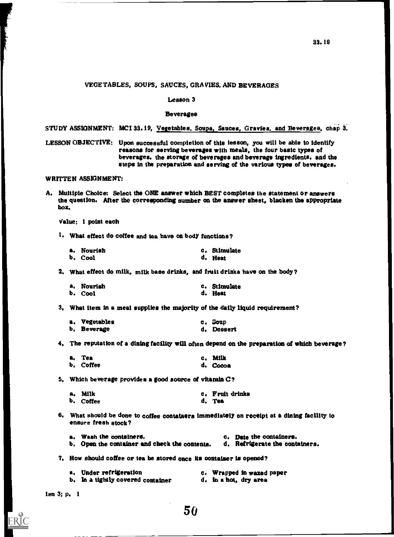# VEGETABLES, SOUPS, SAUCES, GRA VIES, AND BEVERAGES

# Lesson 3

# Beverages

STUDY ASSIGNMENT: MCI 33.19, Vegetables, Soups, Sauces, Gravies, and Beverages. chap 3.

LESSON OBJECTIVE: Upon successful completion of this lesson, you will be able to identify reasons for serving beverages with meals, the four basic types of beverages, the storage of beverages and beverage ingredients. and the steps in the preparation and serving of the various types of beverages.

# WRITTEN ASSIGNMENT:

A. Multiple Choice: Select the ONE answer which BEST completes the statement or answers the question. After the corresponding number on the answer sheet, blacken the appropriate box.

Value; 1 point each

I. What effect do coffee and tea have on body functions?

| a. Nourish | c. Stimulate |
|------------|--------------|
| b, Cool    | d. Heat      |

2. What effect do milk, milk base drinks, and fruit drinks have on the body?

| a. Nourish | c. Stimulate |
|------------|--------------|
| b. Cool    | d. Heat      |

3. What item in a meal supplies the majority of the daily liquid requirement?

| a. Vegetables | c. Soup    |
|---------------|------------|
| b. Beverage   | d. Dessert |

4. The reputation of a dining facility will often depend on the preparation of which beverage?

| a. Tea    | c. Milk  |
|-----------|----------|
| b. Coffee | d. Cocoa |

5. Which beverage provides a good source of vitamin C?

| a. Milk          | c. Fruit drinks |
|------------------|-----------------|
| <b>b.</b> Coffee | d. Tea          |

O. What should be done to coffee containers immediately on receipt at a dining facility to ensure fresh stock?

| a. Wash the containers.                       | c. Date the containers.        |
|-----------------------------------------------|--------------------------------|
| b. Open the container and check the contents. | d. Refrigerate the containers. |

7. How should coffee or tea be stored once its container is opened?

| a. Under refrigeration            | c. Wrapped in waxed paper |
|-----------------------------------|---------------------------|
| b. In a tightly covered container | d. In a hot, dry area     |

isn 3; p. I

so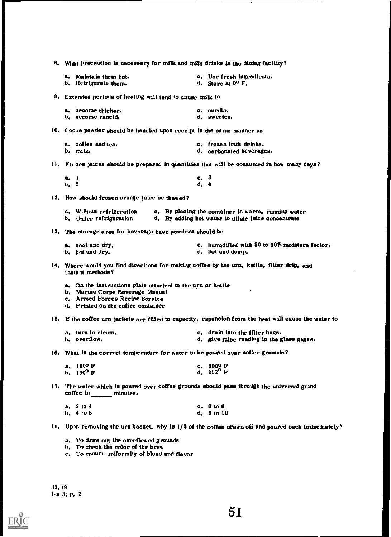8, What precaution is necessary for milk and milk drinks in the dining facility? a, Maintain them hot, c, Use fresh ingredients. b, Refrigerate them.  $\ddot{d}$ , Store at  $0^0$  F. 9. Extended periods of heating will tend to cause milk to a, become thicker. b, become rancid. c, curdle, d, sweeten. 10, Cocoa powder should be handled upon receipt in the same manner as a, coffee and tea.<br>b. milk. c. frozen fruit drinks.<br>c. milk. c. frozen fruit drinks. d. carbonated beverages. 11, Frozen juices should be prepared in quantities that will be consumed in how many days? a, i ti, <sup>2</sup> 12. How should frozen orange juice be thawed? c. 3 d. 4 a, Without refrigeration c, By placing the container in warm, running water b, Under refrigeration d, By adding hot water to dilute juice concentrate 13. The storage area for beverage base powders should be a. cool and dry, c. humidified with 50 to 80% moisture factor. 1. hot and dry. the contract of the contract of the contract of the contract of the contract of the contract of the contract of the contract of the contract of the contract of the contract of the contract of the contract o 14. Where would you find directions for making coffee by the urn, kettle, filter drip, and instant methods? a, On the instructions plate attached to the urn or kettle b, Marine Corps Beverage Manual c, Armed Forces Recipe Service d, Printed on the coffee container 15, If the coffee urn jackets are filled to capacity, expansion from the heat will cause the water to a, turn to steam, and the c. drain into the filter bags.<br>b. overflow. c. c. d. give false reading in the f d. give false reading in the glass gages. 16. What is the correct temperature for water to be poured over coffee grounds? a, 1800 F b, 190° F c,  $200\%$  F d.  $212^{\circ}$  F 17. The water which is poured over coffee grounds should pass through the universal grind coffee in  $\frac{1}{\sqrt{1-\frac{1}{n}}}\$  minutes. a, 2 to 4 b, 4 to 6 c, 6 to 6 d. 6 to 10 18. Upon removing the urn basket, why is 1/3 of the coffee drawn off and poured back immediately? a, To draw out the overflowed grounds b. To check the color of the brew c, To ensure uniformity of blend and flavor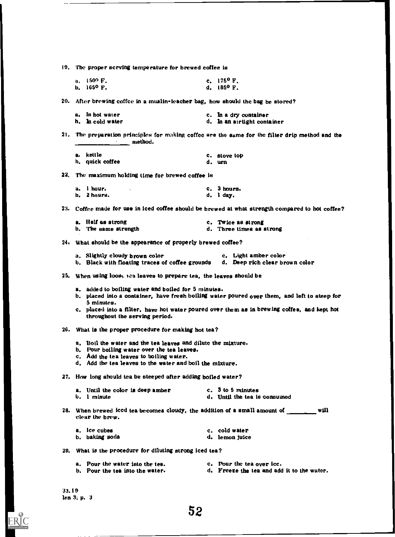19. The proper serving temperature for brewed coffee is

| a. $1500 \text{ F.}$ | c. $175^{\circ}$ F. |
|----------------------|---------------------|
| b. $165^{\circ}$ F.  | d. $185^{\circ}$ F. |

20. After brewing coffee in a muslin-leacher bag, how should the bag be stored?

| a. In hot water- | c. In a dry container       |
|------------------|-----------------------------|
| h. In cold water | d. In an airtight container |

21. The preparation principles for making coffee are the same for the filter drip method and the  $\frac{1}{1-\alpha}$  . The method.

| a. kettle       | c. stove top |
|-----------------|--------------|
| h. quick coffee | d. urn       |

22. The maximum holding time for brewed coffee is

| a. 1 hour.  |  | c. 3 hours. |
|-------------|--|-------------|
| b. 2 hours. |  | d. lday.    |

23. Coffee made for use in iced coffee should be brewed at what strength compared to hot coffee?

| a. Half as strong    | c. Twice as strong       |
|----------------------|--------------------------|
| b. The same strength | d. Three times as strong |

24. What should be the appearance of properly brewed coffee?

| a. Slightly cloudy brown color                  | c. Light amber color           |
|-------------------------------------------------|--------------------------------|
| b. Black with floating traces of coffee grounds | d. Deep rich clear brown color |

25. When using loose tea leaves to prepare tea, the leaves should be

- a, added to boiling water and boiled for 5 minutes.
- b. placed into a container, have fresh boiling water poured over them, and left to steep for 5 minutes.
- c. placed into a filter, have hot water poured over them as in brewing coffee, and kept hot throughout the serving period.
- 26. What is the proper procedure for making hot tea?
	- a. Boil the water and the tea leavee and dilute the mixture.
	- b. Pour boiling water over the tea leaves.
	- c. Add the tea leaves to boiling water.
	- d. Add the tea leaves to the water and boil the mixture.

2?. How long should tea be steeped after adding boiled water?

| a. Until the color is deep amber | c. 3 to 5 minutes            |
|----------------------------------|------------------------------|
| b. 1 minute                      | d. Until the tea is consumed |

28. When brewed iccd tea becomes cloudy, the addition of a small amount of  $\frac{1}{\sqrt{1-\frac{1}{\sqrt{1-\frac{1}{\sqrt{1-\frac{1}{\sqrt{1-\frac{1}{\sqrt{1-\frac{1}{\sqrt{1-\frac{1}{\sqrt{1-\frac{1}{\sqrt{1-\frac{1}{\sqrt{1-\frac{1}{\sqrt{1-\frac{1}{\sqrt{1-\frac{1}{\sqrt{1-\frac{1}{\sqrt{1-\frac{1}{\sqrt{1-\frac{1}{\sqrt{1-\frac{1}{\sqrt{1-\$ clear the brew.

| a. Ice cubes   | c. cold water  |
|----------------|----------------|
| b. baking soda | d, lemon juice |

29. What is the procedure for diluting strong iced tea?

a. Pour the water into the tea. c. Pour the tea over ice.

- b. Pour the tea into the water. d. Freeze the tea and add it to the water.
- a3.10 Ian 3: p. 3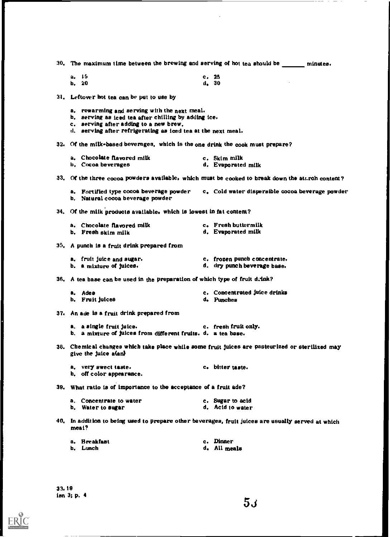30, The maximum time between the brewing and serving of hot tea should be minutes. a. <sup>15</sup> c. 25 b. 20 d. 30 31. Leftover hot tea can be put to use by a, rewarming and serving with the next meal. b, serving as iced tea after chilling by adding ice. c, serving after adding to a new brew, d, serving after refrigerating as iced tea at the next meal. 32. Of the milk-based beverages, which is the one drink the cook must prepare? a, Chocolate flavored milk c. Skim milk<br>b. Cocoa beverages b. Cocoa beverages d. Evaporated milk 33. Of the three cocoa powders available, which must be cooked to break down the attirch content? a. Fortified type cocoa beverage powder c. Cold water dispersible cocoa beverage powder b, Natural cocoa beverage powder 34. Of the milk products available. which is lowest in fat content? a. Chocolate flavored milk b. Fresh skim milk c. Fresh buttermilk d. Evaporated milk 35. A punch is a fruit drink prepared from a, fruit juice and sugar.<br>
b. a mixture of juices.<br>
c. frozen punch beverage base.<br>
d. dry punch beverage base. d. dry punch beverage base. 36. A tea base can be used in the preparation of which type of fruit detak? a, Ades c. Concentrated juice drinks<br>b. Fruit juices c. concentrated juice drinks b. Fruit juices 37. An ade is a fruit drink prepared from a. a single fruit juice. The c. fresh fruit only. b, a mixture of juices from different fruits. d. a tea base. 36, Chemical changes which take place white some fruit juices are pasteurized or sterilized may give the juice a(an) a, very sweet taste. c. bitter taste. b. off color appearance. 30, What ratio Is of importance to the acceptance of a fruit ade? a. Concentrate to water and c. Sugar to acid b. Water to sugar to acid b. Water b, Water to sugar 40, In addition to being used to prepare other beverages, fruit juices are usually served at which meat? a, Breakfast b, Lunch c. Dinner d. All meals

33.19 Ian 3; p. 4

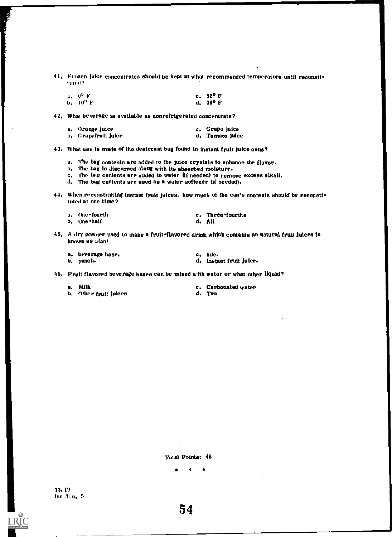41. Frozen juice concentrates should be kept at what recommended temperature until reconsti-1111012

| a. O'F               | c. $32^{\circ}$ F |
|----------------------|-------------------|
| 6. TO <sup>0</sup> F | d. $36^{\circ}$ F |

42, What beverage is available as nonrefrigerated concentrate?

| a. Orange juice      | e. Grape juice  |
|----------------------|-----------------|
| b, Grapefruit juice。 | d. Tomato juice |

43. What use is made of the desiccant bag found in instant fruit juice cans?

a. The bag contents are added to the juice crystals to enhance the flavor.

- b. The bag is discarded along with its absorbed moisture.
- c. The bag contents are added to water it needed) to remove excess alkali.

d. The bag contents are used as a water softener (If needed).

44. When reconstituting instant fruit juices. how much of the can's contents should be reconstituted at one time?

| a. (me•fourth | c. Three-fourths |
|---------------|------------------|
| b. One•haif   | d. All           |

45. A dry powder used to make a fruit-flavored drink which contains no natural fruit juices is known as a(an)

| a, beverage base. | c. ade.                 |
|-------------------|-------------------------|
| b, punch.         | d. instant fruit juice. |

46. Fruit flavored beverage bases can be mixed with water or what other liquid?

| a. Milk               | c. Carbonated water |
|-----------------------|---------------------|
| b. Other fruit juices | d. Tea              |

Total Points: 46

so e \*

33, ID isn 3; p. 5

ERIC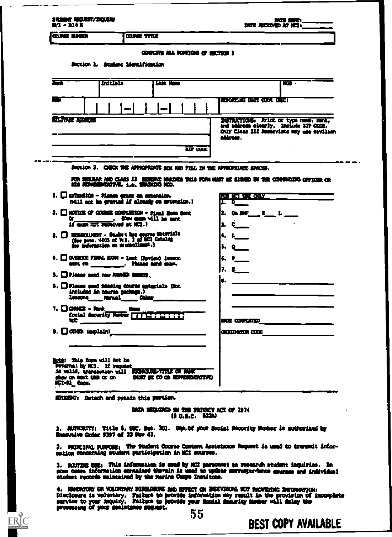| <b>CLINIC KINGCH</b>                                                                                                                                                                           |             |                                                                                 | <b>COUNSE TITLE</b> |                                                           |                 |          |                                                                                                                                                                                                |                                                       |
|------------------------------------------------------------------------------------------------------------------------------------------------------------------------------------------------|-------------|---------------------------------------------------------------------------------|---------------------|-----------------------------------------------------------|-----------------|----------|------------------------------------------------------------------------------------------------------------------------------------------------------------------------------------------------|-------------------------------------------------------|
|                                                                                                                                                                                                |             | Section 1. Student Identification                                               |                     |                                                           |                 |          | COSTETE ALL PORTOIS OF MICTION 1                                                                                                                                                               |                                                       |
| <b>Rock</b>                                                                                                                                                                                    | <b>IAPO</b> |                                                                                 |                     | <b>Last Nor</b>                                           |                 |          |                                                                                                                                                                                                | <b>Kost</b>                                           |
|                                                                                                                                                                                                |             |                                                                                 |                     |                                                           |                 |          | 1.不过,就是他的身体的人痛心的!                                                                                                                                                                              |                                                       |
| in was the state                                                                                                                                                                               |             |                                                                                 |                     |                                                           |                 |          | merkining, Frint or type name, rank,<br>and address clearly. Include 219 CODE.                                                                                                                 |                                                       |
|                                                                                                                                                                                                |             |                                                                                 |                     |                                                           |                 |          | adóram.                                                                                                                                                                                        | Only Class III Reservists may use civilian            |
|                                                                                                                                                                                                |             |                                                                                 |                     |                                                           |                 | ष्टा व्य |                                                                                                                                                                                                |                                                       |
|                                                                                                                                                                                                |             |                                                                                 |                     |                                                           |                 |          | Section 2. CHECK THE APPROPRIATE HOME AND FILL IN THE APPROPRIATE SPACES.<br>for regilar and class it. Hending wandes thus form hust he signed by the connading opposer or                     |                                                       |
| $1.$ $\Box$ EXTENSION - Please grant an extension.                                                                                                                                             |             | KIS REVENDENTIVE. 1.e. TRUBERS HOO.                                             |                     |                                                           |                 |          | RG. KY U STOW                                                                                                                                                                                  |                                                       |
|                                                                                                                                                                                                |             |                                                                                 |                     | ntill not be granted if already on extension.)            |                 |          | <u>t. d.</u>                                                                                                                                                                                   |                                                       |
| $2.$ $\Box$ NOTICE OF COUNSE COUPLETION $\sim$ Pinel Ease Sent<br>$\alpha$                                                                                                                     |             | if man fift repaired at ICI.)                                                   |                     | $\qquad \qquad$ . One was vill be sent                    |                 |          | $2. $ On the $x = 1$<br>1. C                                                                                                                                                                   |                                                       |
| $3.$ $\Box$ summodifient - Student has course interfails                                                                                                                                       |             | (See pars. 4003 of Ve1, 1 of MCI Catalog<br>for information on responsibility.) |                     |                                                           |                 |          | 4. L                                                                                                                                                                                           |                                                       |
| 4. El OVERDUE FINAL EXAM = Last (Review) lesson                                                                                                                                                |             |                                                                                 |                     |                                                           |                 |          | 3. Q<br>6. P                                                                                                                                                                                   |                                                       |
| $5.$ $\Box$ Please and now NUMER ENERS.                                                                                                                                                        |             |                                                                                 |                     |                                                           |                 |          |                                                                                                                                                                                                |                                                       |
| $6.$ $\Box$ Please and missing course metapials (Not                                                                                                                                           |             | included in course package.)                                                    |                     |                                                           |                 |          | Iv.                                                                                                                                                                                            |                                                       |
| 7. $\Box$ CONNE - North Hunter (1) $\Box$ $\Box$ $\Box$ $\Box$ $\Box$                                                                                                                          | TC          |                                                                                 |                     |                                                           |                 |          | DE COPLETO                                                                                                                                                                                     | <u> 1999 - John Barn Barn, amerikansk politiker (</u> |
|                                                                                                                                                                                                |             |                                                                                 |                     |                                                           |                 |          | <b>COLORINATOR CODE</b>                                                                                                                                                                        |                                                       |
| Mote: This form will not be<br>returns; by ICI. If request<br>is valid, transaction will EURATUR-TITLE OR NART<br>show on next UAR or on OUST BE CO OR REPRESENTATIVE)<br><b>NC1-R1_ form.</b> |             |                                                                                 |                     |                                                           |                 |          |                                                                                                                                                                                                |                                                       |
| STUDET: Detach and retain this portion.                                                                                                                                                        |             |                                                                                 |                     |                                                           |                 |          |                                                                                                                                                                                                |                                                       |
|                                                                                                                                                                                                |             |                                                                                 |                     |                                                           | (5 U.S.C. 522A) |          | DATA REQUIRED BY THE FREVACY ACT OF 1974                                                                                                                                                       |                                                       |
| Empative Crier 9397 of 22 Nov 43.                                                                                                                                                              |             |                                                                                 |                     |                                                           |                 |          | 3. MUTHORITY: Title 5, USC. Soc. 301. Uno.of your Social Security Mumber is authorized by                                                                                                      |                                                       |
| sation concerning student participation in NCI courses.                                                                                                                                        |             |                                                                                 |                     |                                                           |                 |          | 2. PRINCIPAL PURPORE: The Student Course Contant Assistance Request is used to transmit infor-                                                                                                 |                                                       |
|                                                                                                                                                                                                |             |                                                                                 |                     |                                                           |                 |          | 3. azrrne um: This information is used by MII personnel to research student inquiries. In<br>come cases information contained therein is used to update corresportance convense and individual |                                                       |
|                                                                                                                                                                                                |             |                                                                                 |                     | student records maintained by the Marine Corps Institute. |                 |          | 4. MACHICKY CR VOLUTARY DIRELORING MO HUVETY ON DIRECTIVE HEY UNIVERSITY DURING THE COLLECTION :                                                                                               |                                                       |

4. IMADICORY OR VOLUNTARY DISCLOSING MOD MYPRET ON DEUVIDINAL NDT PROVIDING INFORMATION:<br>Disclesure is voluntary. Pailure to provide information may result in the provision of incomplete service to your impury. Failure to provide your docial facurity inster will delay the sociological of part solidation import.<br>55

ERIC<br>ERIC